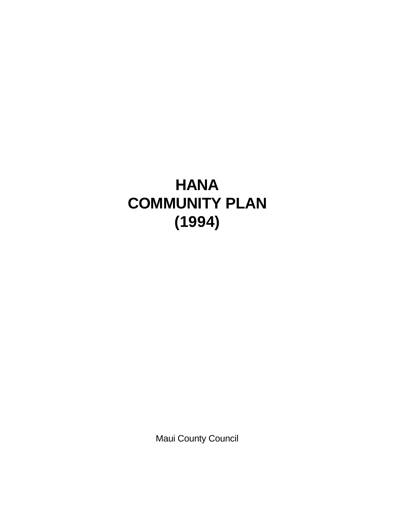# **HANA COMMUNITY PLAN (1994)**

Maui County Council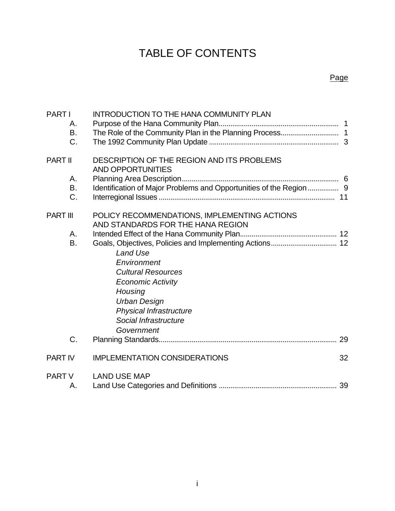## TABLE OF CONTENTS

#### Page

| <b>PARTI</b><br>Α.<br>Β.<br>C. | INTRODUCTION TO THE HANA COMMUNITY PLAN                                                                                                                                                            |    |
|--------------------------------|----------------------------------------------------------------------------------------------------------------------------------------------------------------------------------------------------|----|
| <b>PART II</b>                 | DESCRIPTION OF THE REGION AND ITS PROBLEMS<br>AND OPPORTUNITIES                                                                                                                                    |    |
| Α.<br>B.<br>C.                 | Identification of Major Problems and Opportunities of the Region 9                                                                                                                                 |    |
| <b>PART III</b>                | POLICY RECOMMENDATIONS, IMPLEMENTING ACTIONS<br>AND STANDARDS FOR THE HANA REGION                                                                                                                  |    |
| A.<br>B.                       | <b>Land Use</b><br>Environment<br><b>Cultural Resources</b><br><b>Economic Activity</b><br>Housing<br><b>Urban Design</b><br><b>Physical Infrastructure</b><br>Social Infrastructure<br>Government |    |
| C.                             |                                                                                                                                                                                                    |    |
| <b>PART IV</b>                 | <b>IMPLEMENTATION CONSIDERATIONS</b>                                                                                                                                                               | 32 |
| <b>PART V</b><br>А.            | <b>LAND USE MAP</b>                                                                                                                                                                                |    |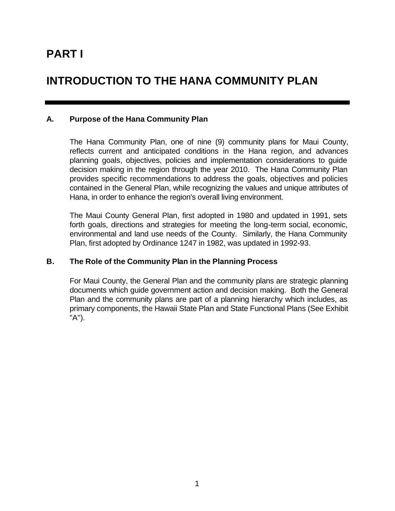## **INTRODUCTION TO THE HANA COMMUNITY PLAN**

#### **A. Purpose of the Hana Community Plan**

The Hana Community Plan, one of nine (9) community plans for Maui County, reflects current and anticipated conditions in the Hana region, and advances planning goals, objectives, policies and implementation considerations to guide decision making in the region through the year 2010. The Hana Community Plan provides specific recommendations to address the goals, objectives and policies contained in the General Plan, while recognizing the values and unique attributes of Hana, in order to enhance the region's overall living environment.

The Maui County General Plan, first adopted in 1980 and updated in 1991, sets forth goals, directions and strategies for meeting the long-term social, economic, environmental and land use needs of the County. Similarly, the Hana Community Plan, first adopted by Ordinance 1247 in 1982, was updated in 1992-93.

#### **B. The Role of the Community Plan in the Planning Process**

For Maui County, the General Plan and the community plans are strategic planning documents which guide government action and decision making. Both the General Plan and the community plans are part of a planning hierarchy which includes, as primary components, the Hawaii State Plan and State Functional Plans (See Exhibit "A").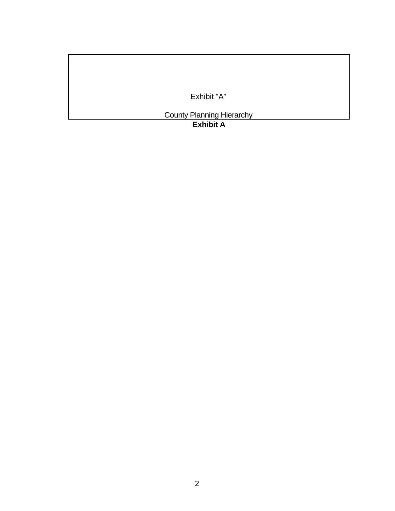Exhibit "A"

County Planning Hierarchy

**Exhibit A**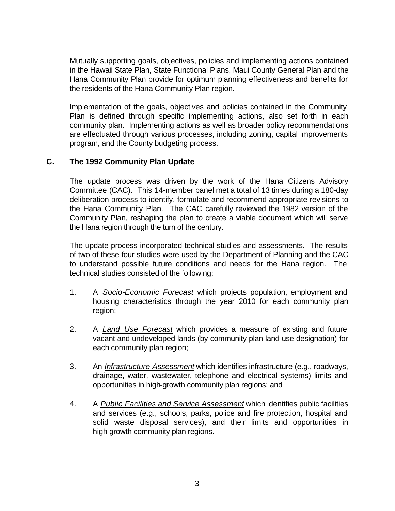Mutually supporting goals, objectives, policies and implementing actions contained in the Hawaii State Plan, State Functional Plans, Maui County General Plan and the Hana Community Plan provide for optimum planning effectiveness and benefits for the residents of the Hana Community Plan region.

Implementation of the goals, objectives and policies contained in the Community Plan is defined through specific implementing actions, also set forth in each community plan. Implementing actions as well as broader policy recommendations are effectuated through various processes, including zoning, capital improvements program, and the County budgeting process.

#### **C. The 1992 Community Plan Update**

The update process was driven by the work of the Hana Citizens Advisory Committee (CAC). This 14-member panel met a total of 13 times during a 180-day deliberation process to identify, formulate and recommend appropriate revisions to the Hana Community Plan. The CAC carefully reviewed the 1982 version of the Community Plan, reshaping the plan to create a viable document which will serve the Hana region through the turn of the century.

The update process incorporated technical studies and assessments. The results of two of these four studies were used by the Department of Planning and the CAC to understand possible future conditions and needs for the Hana region. The technical studies consisted of the following:

- 1. A *Socio-Economic Forecast* which projects population, employment and housing characteristics through the year 2010 for each community plan region;
- 2. A *Land Use Forecast* which provides a measure of existing and future vacant and undeveloped lands (by community plan land use designation) for each community plan region;
- 3. An *Infrastructure Assessment* which identifies infrastructure (e.g., roadways, drainage, water, wastewater, telephone and electrical systems) limits and opportunities in high-growth community plan regions; and
- 4. A *Public Facilities and Service Assessment* which identifies public facilities and services (e.g., schools, parks, police and fire protection, hospital and solid waste disposal services), and their limits and opportunities in high-growth community plan regions.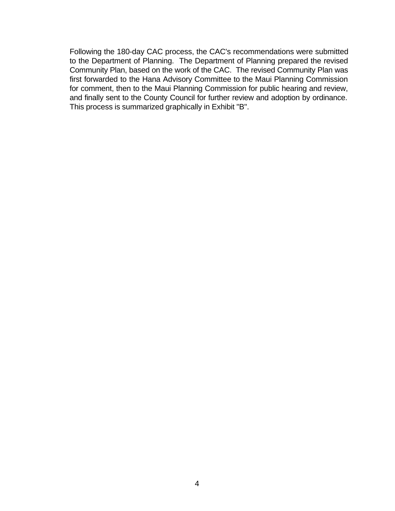Following the 180-day CAC process, the CAC's recommendations were submitted to the Department of Planning. The Department of Planning prepared the revised Community Plan, based on the work of the CAC. The revised Community Plan was first forwarded to the Hana Advisory Committee to the Maui Planning Commission for comment, then to the Maui Planning Commission for public hearing and review, and finally sent to the County Council for further review and adoption by ordinance. This process is summarized graphically in Exhibit "B".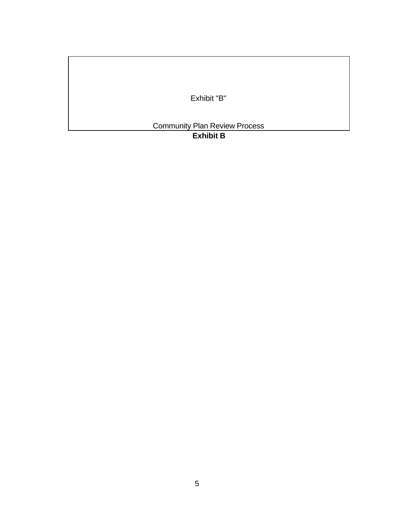Exhibit "B"

Community Plan Review Process

**Exhibit B**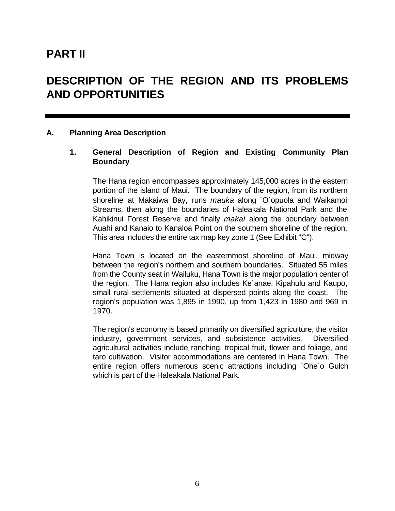### **PART II**

## **DESCRIPTION OF THE REGION AND ITS PROBLEMS AND OPPORTUNITIES**

#### **A. Planning Area Description**

#### **1. General Description of Region and Existing Community Plan Boundary**

The Hana region encompasses approximately 145,000 acres in the eastern portion of the island of Maui. The boundary of the region, from its northern shoreline at Makaiwa Bay, runs *mauka* along `O`opuola and Waikamoi Streams, then along the boundaries of Haleakala National Park and the Kahikinui Forest Reserve and finally *makai* along the boundary between Auahi and Kanaio to Kanaloa Point on the southern shoreline of the region. This area includes the entire tax map key zone 1 (See Exhibit "C").

Hana Town is located on the easternmost shoreline of Maui, midway between the region's northern and southern boundaries. Situated 55 miles from the County seat in Wailuku, Hana Town is the major population center of the region. The Hana region also includes Ke`anae, Kipahulu and Kaupo, small rural settlements situated at dispersed points along the coast. The region's population was 1,895 in 1990, up from 1,423 in 1980 and 969 in 1970.

The region's economy is based primarily on diversified agriculture, the visitor industry, government services, and subsistence activities. Diversified agricultural activities include ranching, tropical fruit, flower and foliage, and taro cultivation. Visitor accommodations are centered in Hana Town. The entire region offers numerous scenic attractions including `Ohe`o Gulch which is part of the Haleakala National Park.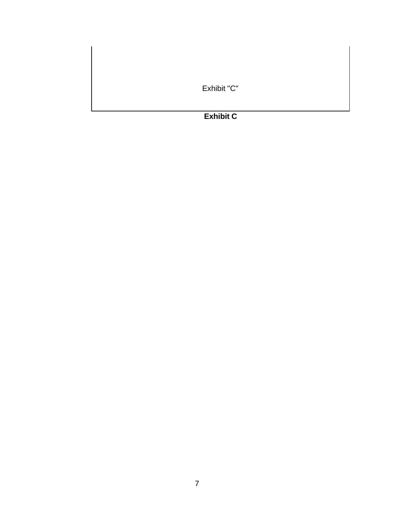Exhibit "C"

### **Exhibit C**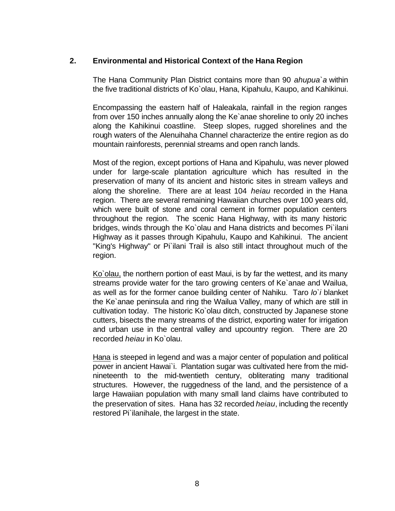#### **2. Environmental and Historical Context of the Hana Region**

The Hana Community Plan District contains more than 90 *ahupua`a* within the five traditional districts of Ko`olau, Hana, Kipahulu, Kaupo, and Kahikinui.

Encompassing the eastern half of Haleakala, rainfall in the region ranges from over 150 inches annually along the Ke`anae shoreline to only 20 inches along the Kahikinui coastline. Steep slopes, rugged shorelines and the rough waters of the Alenuihaha Channel characterize the entire region as do mountain rainforests, perennial streams and open ranch lands.

Most of the region, except portions of Hana and Kipahulu, was never plowed under for large-scale plantation agriculture which has resulted in the preservation of many of its ancient and historic sites in stream valleys and along the shoreline. There are at least 104 *heiau* recorded in the Hana region. There are several remaining Hawaiian churches over 100 years old, which were built of stone and coral cement in former population centers throughout the region. The scenic Hana Highway, with its many historic bridges, winds through the Ko`olau and Hana districts and becomes Pi`ilani Highway as it passes through Kipahulu, Kaupo and Kahikinui. The ancient "King's Highway" or Pi`ilani Trail is also still intact throughout much of the region.

Ko`olau, the northern portion of east Maui, is by far the wettest, and its many streams provide water for the taro growing centers of Ke`anae and Wailua, as well as for the former canoe building center of Nahiku. Taro *lo`i* blanket the Ke`anae peninsula and ring the Wailua Valley, many of which are still in cultivation today. The historic Ko`olau ditch, constructed by Japanese stone cutters, bisects the many streams of the district, exporting water for irrigation and urban use in the central valley and upcountry region. There are 20 recorded *heiau* in Ko`olau.

Hana is steeped in legend and was a major center of population and political power in ancient Hawai`i. Plantation sugar was cultivated here from the midnineteenth to the mid-twentieth century, obliterating many traditional structures. However, the ruggedness of the land, and the persistence of a large Hawaiian population with many small land claims have contributed to the preservation of sites. Hana has 32 recorded *heiau*, including the recently restored Pi`ilanihale, the largest in the state.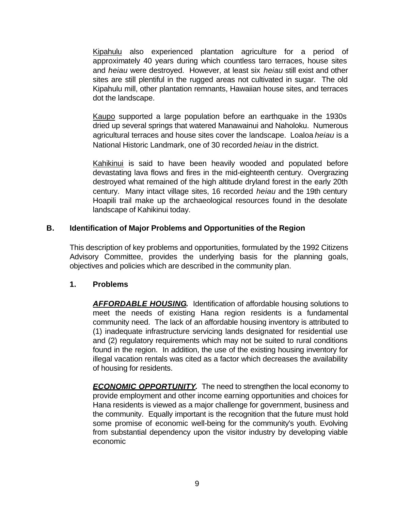Kipahulu also experienced plantation agriculture for a period of approximately 40 years during which countless taro terraces, house sites and *heiau* were destroyed. However, at least six *heiau* still exist and other sites are still plentiful in the rugged areas not cultivated in sugar. The old Kipahulu mill, other plantation remnants, Hawaiian house sites, and terraces dot the landscape.

Kaupo supported a large population before an earthquake in the 1930s dried up several springs that watered Manawainui and Naholoku. Numerous agricultural terraces and house sites cover the landscape. Loaloa *heiau* is a National Historic Landmark, one of 30 recorded *heiau* in the district.

Kahikinui is said to have been heavily wooded and populated before devastating lava flows and fires in the mid-eighteenth century. Overgrazing destroyed what remained of the high altitude dryland forest in the early 20th century. Many intact village sites, 16 recorded *heiau* and the 19th century Hoapili trail make up the archaeological resources found in the desolate landscape of Kahikinui today.

#### **B. Identification of Major Problems and Opportunities of the Region**

This description of key problems and opportunities, formulated by the 1992 Citizens Advisory Committee, provides the underlying basis for the planning goals, objectives and policies which are described in the community plan.

#### **1. Problems**

*AFFORDABLE HOUSING.* Identification of affordable housing solutions to meet the needs of existing Hana region residents is a fundamental community need. The lack of an affordable housing inventory is attributed to (1) inadequate infrastructure servicing lands designated for residential use and (2) regulatory requirements which may not be suited to rural conditions found in the region. In addition, the use of the existing housing inventory for illegal vacation rentals was cited as a factor which decreases the availability of housing for residents.

*ECONOMIC OPPORTUNITY*. The need to strengthen the local economy to provide employment and other income earning opportunities and choices for Hana residents is viewed as a major challenge for government, business and the community. Equally important is the recognition that the future must hold some promise of economic well-being for the community's youth. Evolving from substantial dependency upon the visitor industry by developing viable economic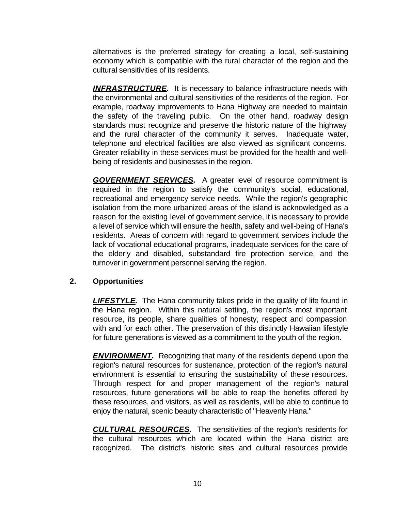alternatives is the preferred strategy for creating a local, self-sustaining economy which is compatible with the rural character of the region and the cultural sensitivities of its residents.

*INFRASTRUCTURE.* It is necessary to balance infrastructure needs with the environmental and cultural sensitivities of the residents of the region. For example, roadway improvements to Hana Highway are needed to maintain the safety of the traveling public. On the other hand, roadway design standards must recognize and preserve the historic nature of the highway and the rural character of the community it serves. Inadequate water, telephone and electrical facilities are also viewed as significant concerns. Greater reliability in these services must be provided for the health and wellbeing of residents and businesses in the region.

*GOVERNMENT SERVICES.* A greater level of resource commitment is required in the region to satisfy the community's social, educational, recreational and emergency service needs. While the region's geographic isolation from the more urbanized areas of the island is acknowledged as a reason for the existing level of government service, it is necessary to provide a level of service which will ensure the health, safety and well-being of Hana's residents. Areas of concern with regard to government services include the lack of vocational educational programs, inadequate services for the care of the elderly and disabled, substandard fire protection service, and the turnover in government personnel serving the region.

#### **2. Opportunities**

**LIFESTYLE.** The Hana community takes pride in the quality of life found in the Hana region. Within this natural setting, the region's most important resource, its people, share qualities of honesty, respect and compassion with and for each other. The preservation of this distinctly Hawaiian lifestyle for future generations is viewed as a commitment to the youth of the region.

**ENVIRONMENT.** Recognizing that many of the residents depend upon the region's natural resources for sustenance, protection of the region's natural environment is essential to ensuring the sustainability of these resources. Through respect for and proper management of the region's natural resources, future generations will be able to reap the benefits offered by these resources, and visitors, as well as residents, will be able to continue to enjoy the natural, scenic beauty characteristic of "Heavenly Hana."

*CULTURAL RESOURCES.* The sensitivities of the region's residents for the cultural resources which are located within the Hana district are recognized. The district's historic sites and cultural resources provide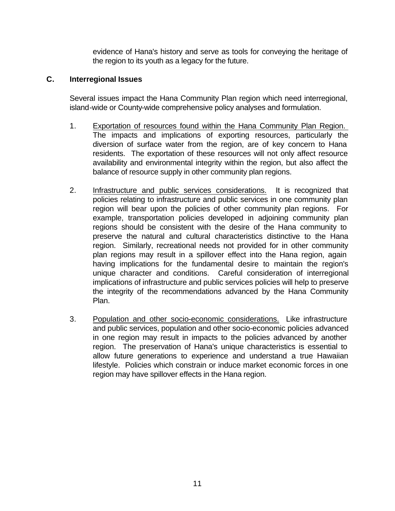evidence of Hana's history and serve as tools for conveying the heritage of the region to its youth as a legacy for the future.

#### **C. Interregional Issues**

Several issues impact the Hana Community Plan region which need interregional, island-wide or County-wide comprehensive policy analyses and formulation.

- 1. Exportation of resources found within the Hana Community Plan Region. The impacts and implications of exporting resources, particularly the diversion of surface water from the region, are of key concern to Hana residents. The exportation of these resources will not only affect resource availability and environmental integrity within the region, but also affect the balance of resource supply in other community plan regions.
- 2. Infrastructure and public services considerations. It is recognized that policies relating to infrastructure and public services in one community plan region will bear upon the policies of other community plan regions. For example, transportation policies developed in adjoining community plan regions should be consistent with the desire of the Hana community to preserve the natural and cultural characteristics distinctive to the Hana region. Similarly, recreational needs not provided for in other community plan regions may result in a spillover effect into the Hana region, again having implications for the fundamental desire to maintain the region's unique character and conditions. Careful consideration of interregional implications of infrastructure and public services policies will help to preserve the integrity of the recommendations advanced by the Hana Community Plan.
- 3. Population and other socio-economic considerations. Like infrastructure and public services, population and other socio-economic policies advanced in one region may result in impacts to the policies advanced by another region. The preservation of Hana's unique characteristics is essential to allow future generations to experience and understand a true Hawaiian lifestyle. Policies which constrain or induce market economic forces in one region may have spillover effects in the Hana region.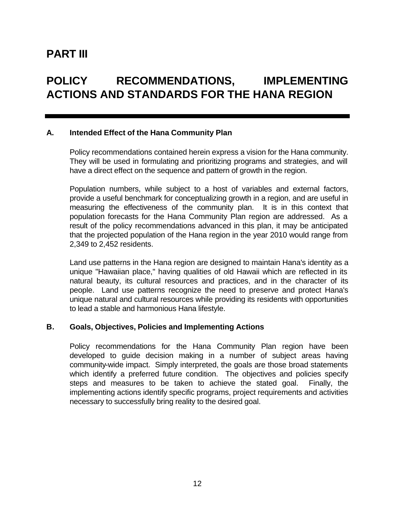### **PART III**

## **POLICY RECOMMENDATIONS, IMPLEMENTING ACTIONS AND STANDARDS FOR THE HANA REGION**

#### **A. Intended Effect of the Hana Community Plan**

Policy recommendations contained herein express a vision for the Hana community. They will be used in formulating and prioritizing programs and strategies, and will have a direct effect on the sequence and pattern of growth in the region.

Population numbers, while subject to a host of variables and external factors, provide a useful benchmark for conceptualizing growth in a region, and are useful in measuring the effectiveness of the community plan. It is in this context that population forecasts for the Hana Community Plan region are addressed. As a result of the policy recommendations advanced in this plan, it may be anticipated that the projected population of the Hana region in the year 2010 would range from 2,349 to 2,452 residents.

Land use patterns in the Hana region are designed to maintain Hana's identity as a unique "Hawaiian place," having qualities of old Hawaii which are reflected in its natural beauty, its cultural resources and practices, and in the character of its people. Land use patterns recognize the need to preserve and protect Hana's unique natural and cultural resources while providing its residents with opportunities to lead a stable and harmonious Hana lifestyle.

#### **B. Goals, Objectives, Policies and Implementing Actions**

Policy recommendations for the Hana Community Plan region have been developed to guide decision making in a number of subject areas having community-wide impact. Simply interpreted, the goals are those broad statements which identify a preferred future condition. The objectives and policies specify steps and measures to be taken to achieve the stated goal. Finally, the implementing actions identify specific programs, project requirements and activities necessary to successfully bring reality to the desired goal.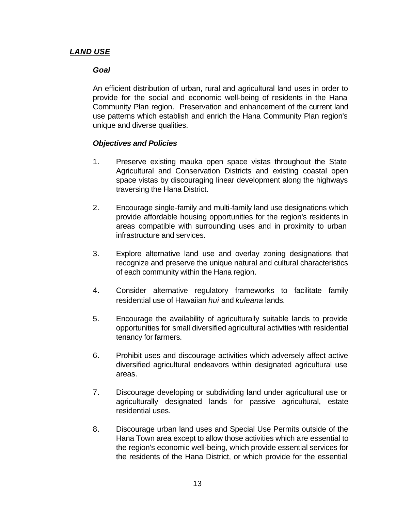#### *LAND USE*

#### *Goal*

An efficient distribution of urban, rural and agricultural land uses in order to provide for the social and economic well-being of residents in the Hana Community Plan region. Preservation and enhancement of the current land use patterns which establish and enrich the Hana Community Plan region's unique and diverse qualities.

#### *Objectives and Policies*

- 1. Preserve existing mauka open space vistas throughout the State Agricultural and Conservation Districts and existing coastal open space vistas by discouraging linear development along the highways traversing the Hana District.
- 2. Encourage single-family and multi-family land use designations which provide affordable housing opportunities for the region's residents in areas compatible with surrounding uses and in proximity to urban infrastructure and services.
- 3. Explore alternative land use and overlay zoning designations that recognize and preserve the unique natural and cultural characteristics of each community within the Hana region.
- 4. Consider alternative regulatory frameworks to facilitate family residential use of Hawaiian *hui* and *kuleana* lands.
- 5. Encourage the availability of agriculturally suitable lands to provide opportunities for small diversified agricultural activities with residential tenancy for farmers.
- 6. Prohibit uses and discourage activities which adversely affect active diversified agricultural endeavors within designated agricultural use areas.
- 7. Discourage developing or subdividing land under agricultural use or agriculturally designated lands for passive agricultural, estate residential uses.
- 8. Discourage urban land uses and Special Use Permits outside of the Hana Town area except to allow those activities which are essential to the region's economic well-being, which provide essential services for the residents of the Hana District, or which provide for the essential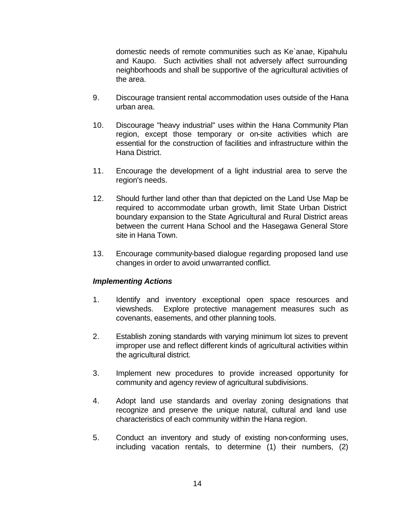domestic needs of remote communities such as Ke`anae, Kipahulu and Kaupo. Such activities shall not adversely affect surrounding neighborhoods and shall be supportive of the agricultural activities of the area.

- 9. Discourage transient rental accommodation uses outside of the Hana urban area.
- 10. Discourage "heavy industrial" uses within the Hana Community Plan region, except those temporary or on-site activities which are essential for the construction of facilities and infrastructure within the Hana District.
- 11. Encourage the development of a light industrial area to serve the region's needs.
- 12. Should further land other than that depicted on the Land Use Map be required to accommodate urban growth, limit State Urban District boundary expansion to the State Agricultural and Rural District areas between the current Hana School and the Hasegawa General Store site in Hana Town.
- 13. Encourage community-based dialogue regarding proposed land use changes in order to avoid unwarranted conflict.

#### *Implementing Actions*

- 1. Identify and inventory exceptional open space resources and viewsheds. Explore protective management measures such as covenants, easements, and other planning tools.
- 2. Establish zoning standards with varying minimum lot sizes to prevent improper use and reflect different kinds of agricultural activities within the agricultural district.
- 3. Implement new procedures to provide increased opportunity for community and agency review of agricultural subdivisions.
- 4. Adopt land use standards and overlay zoning designations that recognize and preserve the unique natural, cultural and land use characteristics of each community within the Hana region.
- 5. Conduct an inventory and study of existing non-conforming uses, including vacation rentals, to determine (1) their numbers, (2)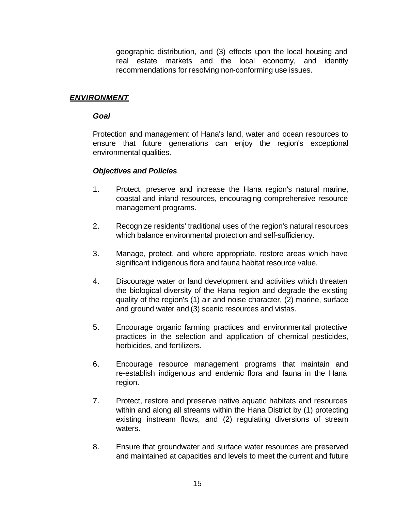geographic distribution, and (3) effects upon the local housing and real estate markets and the local economy, and identify recommendations for resolving non-conforming use issues.

#### *ENVIRONMENT*

#### *Goal*

Protection and management of Hana's land, water and ocean resources to ensure that future generations can enjoy the region's exceptional environmental qualities.

#### *Objectives and Policies*

- 1. Protect, preserve and increase the Hana region's natural marine, coastal and inland resources, encouraging comprehensive resource management programs.
- 2. Recognize residents' traditional uses of the region's natural resources which balance environmental protection and self-sufficiency.
- 3. Manage, protect, and where appropriate, restore areas which have significant indigenous flora and fauna habitat resource value.
- 4. Discourage water or land development and activities which threaten the biological diversity of the Hana region and degrade the existing quality of the region's (1) air and noise character, (2) marine, surface and ground water and (3) scenic resources and vistas.
- 5. Encourage organic farming practices and environmental protective practices in the selection and application of chemical pesticides, herbicides, and fertilizers.
- 6. Encourage resource management programs that maintain and re-establish indigenous and endemic flora and fauna in the Hana region.
- 7. Protect, restore and preserve native aquatic habitats and resources within and along all streams within the Hana District by (1) protecting existing instream flows, and (2) regulating diversions of stream waters.
- 8. Ensure that groundwater and surface water resources are preserved and maintained at capacities and levels to meet the current and future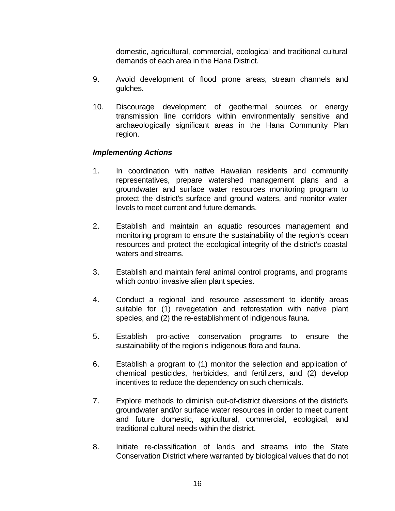domestic, agricultural, commercial, ecological and traditional cultural demands of each area in the Hana District.

- 9. Avoid development of flood prone areas, stream channels and gulches.
- 10. Discourage development of geothermal sources or energy transmission line corridors within environmentally sensitive and archaeologically significant areas in the Hana Community Plan region.

#### *Implementing Actions*

- 1. In coordination with native Hawaiian residents and community representatives, prepare watershed management plans and a groundwater and surface water resources monitoring program to protect the district's surface and ground waters, and monitor water levels to meet current and future demands.
- 2. Establish and maintain an aquatic resources management and monitoring program to ensure the sustainability of the region's ocean resources and protect the ecological integrity of the district's coastal waters and streams.
- 3. Establish and maintain feral animal control programs, and programs which control invasive alien plant species.
- 4. Conduct a regional land resource assessment to identify areas suitable for (1) revegetation and reforestation with native plant species, and (2) the re-establishment of indigenous fauna.
- 5. Establish pro-active conservation programs to ensure the sustainability of the region's indigenous flora and fauna.
- 6. Establish a program to (1) monitor the selection and application of chemical pesticides, herbicides, and fertilizers, and (2) develop incentives to reduce the dependency on such chemicals.
- 7. Explore methods to diminish out-of-district diversions of the district's groundwater and/or surface water resources in order to meet current and future domestic, agricultural, commercial, ecological, and traditional cultural needs within the district.
- 8. Initiate re-classification of lands and streams into the State Conservation District where warranted by biological values that do not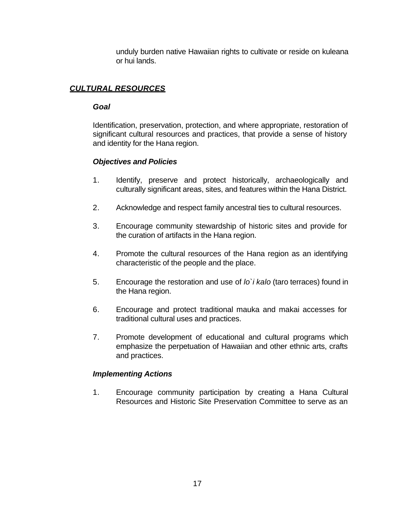unduly burden native Hawaiian rights to cultivate or reside on kuleana or hui lands.

#### *CULTURAL RESOURCES*

#### *Goal*

Identification, preservation, protection, and where appropriate, restoration of significant cultural resources and practices, that provide a sense of history and identity for the Hana region.

#### *Objectives and Policies*

- 1. Identify, preserve and protect historically, archaeologically and culturally significant areas, sites, and features within the Hana District.
- 2. Acknowledge and respect family ancestral ties to cultural resources.
- 3. Encourage community stewardship of historic sites and provide for the curation of artifacts in the Hana region.
- 4. Promote the cultural resources of the Hana region as an identifying characteristic of the people and the place.
- 5. Encourage the restoration and use of *lo`i kalo* (taro terraces) found in the Hana region.
- 6. Encourage and protect traditional mauka and makai accesses for traditional cultural uses and practices.
- 7. Promote development of educational and cultural programs which emphasize the perpetuation of Hawaiian and other ethnic arts, crafts and practices.

#### *Implementing Actions*

1. Encourage community participation by creating a Hana Cultural Resources and Historic Site Preservation Committee to serve as an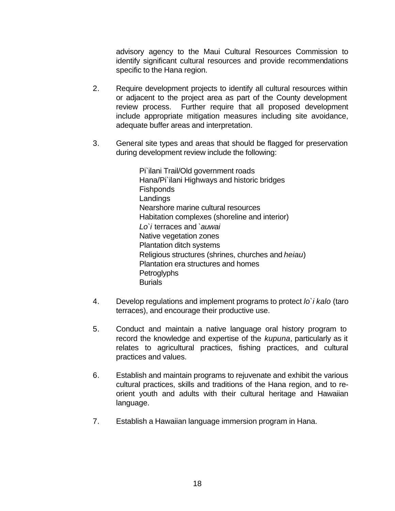advisory agency to the Maui Cultural Resources Commission to identify significant cultural resources and provide recommendations specific to the Hana region.

- 2. Require development projects to identify all cultural resources within or adjacent to the project area as part of the County development review process. Further require that all proposed development include appropriate mitigation measures including site avoidance, adequate buffer areas and interpretation.
- 3. General site types and areas that should be flagged for preservation during development review include the following:

Pi`ilani Trail/Old government roads Hana/Pi`ilani Highways and historic bridges Fishponds Landings Nearshore marine cultural resources Habitation complexes (shoreline and interior) *Lo`i* terraces and *`auwai* Native vegetation zones Plantation ditch systems Religious structures (shrines, churches and *heiau*) Plantation era structures and homes **Petroglyphs Burials** 

- 4. Develop regulations and implement programs to protect *lo`i kalo* (taro terraces), and encourage their productive use.
- 5. Conduct and maintain a native language oral history program to record the knowledge and expertise of the *kupuna*, particularly as it relates to agricultural practices, fishing practices, and cultural practices and values.
- 6. Establish and maintain programs to rejuvenate and exhibit the various cultural practices, skills and traditions of the Hana region, and to reorient youth and adults with their cultural heritage and Hawaiian language.
- 7. Establish a Hawaiian language immersion program in Hana.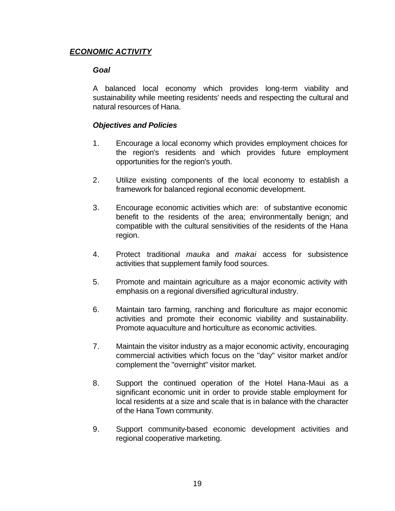#### *ECONOMIC ACTIVITY*

#### *Goal*

A balanced local economy which provides long-term viability and sustainability while meeting residents' needs and respecting the cultural and natural resources of Hana.

#### *Objectives and Policies*

- 1. Encourage a local economy which provides employment choices for the region's residents and which provides future employment opportunities for the region's youth.
- 2. Utilize existing components of the local economy to establish a framework for balanced regional economic development.
- 3. Encourage economic activities which are: of substantive economic benefit to the residents of the area; environmentally benign; and compatible with the cultural sensitivities of the residents of the Hana region.
- 4. Protect traditional *mauka* and *makai* access for subsistence activities that supplement family food sources.
- 5. Promote and maintain agriculture as a major economic activity with emphasis on a regional diversified agricultural industry.
- 6. Maintain taro farming, ranching and floriculture as major economic activities and promote their economic viability and sustainability. Promote aquaculture and horticulture as economic activities.
- 7. Maintain the visitor industry as a major economic activity, encouraging commercial activities which focus on the "day" visitor market and/or complement the "overnight" visitor market.
- 8. Support the continued operation of the Hotel Hana-Maui as a significant economic unit in order to provide stable employment for local residents at a size and scale that is in balance with the character of the Hana Town community.
- 9. Support community-based economic development activities and regional cooperative marketing.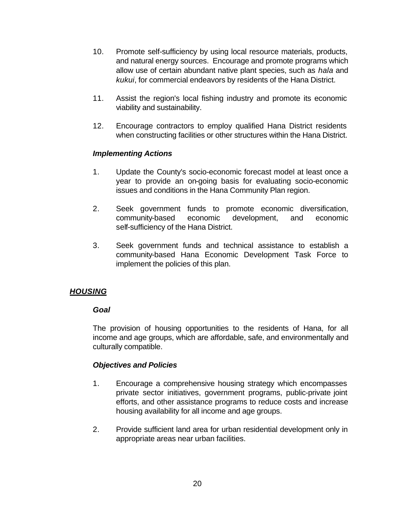- 10. Promote self-sufficiency by using local resource materials, products, and natural energy sources. Encourage and promote programs which allow use of certain abundant native plant species, such as *hala* and *kukui*, for commercial endeavors by residents of the Hana District.
- 11. Assist the region's local fishing industry and promote its economic viability and sustainability.
- 12. Encourage contractors to employ qualified Hana District residents when constructing facilities or other structures within the Hana District.

#### *Implementing Actions*

- 1. Update the County's socio-economic forecast model at least once a year to provide an on-going basis for evaluating socio-economic issues and conditions in the Hana Community Plan region.
- 2. Seek government funds to promote economic diversification, community-based economic development, and economic self-sufficiency of the Hana District.
- 3. Seek government funds and technical assistance to establish a community-based Hana Economic Development Task Force to implement the policies of this plan.

#### *HOUSING*

#### *Goal*

The provision of housing opportunities to the residents of Hana, for all income and age groups, which are affordable, safe, and environmentally and culturally compatible.

#### *Objectives and Policies*

- 1. Encourage a comprehensive housing strategy which encompasses private sector initiatives, government programs, public-private joint efforts, and other assistance programs to reduce costs and increase housing availability for all income and age groups.
- 2. Provide sufficient land area for urban residential development only in appropriate areas near urban facilities.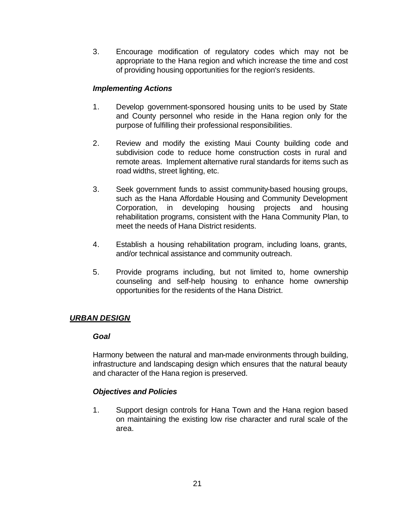3. Encourage modification of regulatory codes which may not be appropriate to the Hana region and which increase the time and cost of providing housing opportunities for the region's residents.

#### *Implementing Actions*

- 1. Develop government-sponsored housing units to be used by State and County personnel who reside in the Hana region only for the purpose of fulfilling their professional responsibilities.
- 2. Review and modify the existing Maui County building code and subdivision code to reduce home construction costs in rural and remote areas. Implement alternative rural standards for items such as road widths, street lighting, etc.
- 3. Seek government funds to assist community-based housing groups, such as the Hana Affordable Housing and Community Development Corporation, in developing housing projects and housing rehabilitation programs, consistent with the Hana Community Plan, to meet the needs of Hana District residents.
- 4. Establish a housing rehabilitation program, including loans, grants, and/or technical assistance and community outreach.
- 5. Provide programs including, but not limited to, home ownership counseling and self-help housing to enhance home ownership opportunities for the residents of the Hana District.

#### *URBAN DESIGN*

#### *Goal*

Harmony between the natural and man-made environments through building, infrastructure and landscaping design which ensures that the natural beauty and character of the Hana region is preserved.

#### *Objectives and Policies*

1. Support design controls for Hana Town and the Hana region based on maintaining the existing low rise character and rural scale of the area.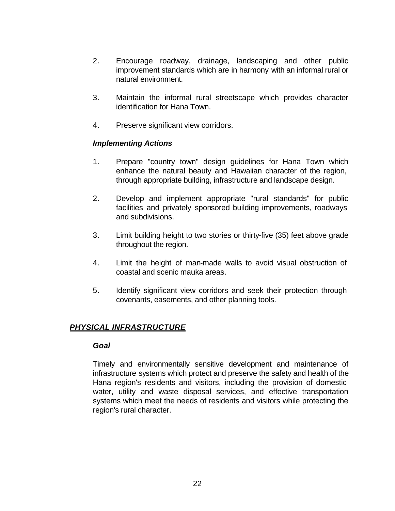- 2. Encourage roadway, drainage, landscaping and other public improvement standards which are in harmony with an informal rural or natural environment.
- 3. Maintain the informal rural streetscape which provides character identification for Hana Town.
- 4. Preserve significant view corridors.

#### *Implementing Actions*

- 1. Prepare "country town" design guidelines for Hana Town which enhance the natural beauty and Hawaiian character of the region, through appropriate building, infrastructure and landscape design.
- 2. Develop and implement appropriate "rural standards" for public facilities and privately sponsored building improvements, roadways and subdivisions.
- 3. Limit building height to two stories or thirty-five (35) feet above grade throughout the region.
- 4. Limit the height of man-made walls to avoid visual obstruction of coastal and scenic mauka areas.
- 5. Identify significant view corridors and seek their protection through covenants, easements, and other planning tools.

#### *PHYSICAL INFRASTRUCTURE*

#### *Goal*

Timely and environmentally sensitive development and maintenance of infrastructure systems which protect and preserve the safety and health of the Hana region's residents and visitors, including the provision of domestic water, utility and waste disposal services, and effective transportation systems which meet the needs of residents and visitors while protecting the region's rural character.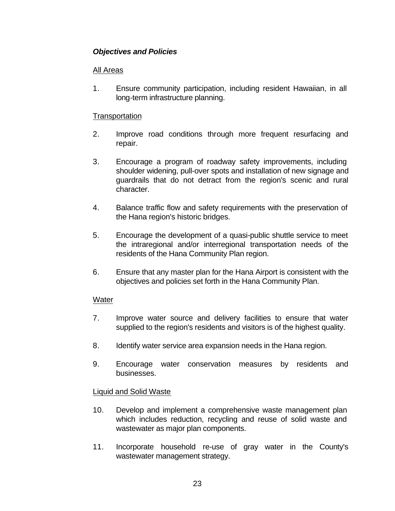#### *Objectives and Policies*

#### All Areas

1. Ensure community participation, including resident Hawaiian, in all long-term infrastructure planning.

#### **Transportation**

- 2. Improve road conditions through more frequent resurfacing and repair.
- 3. Encourage a program of roadway safety improvements, including shoulder widening, pull-over spots and installation of new signage and guardrails that do not detract from the region's scenic and rural character.
- 4. Balance traffic flow and safety requirements with the preservation of the Hana region's historic bridges.
- 5. Encourage the development of a quasi-public shuttle service to meet the intraregional and/or interregional transportation needs of the residents of the Hana Community Plan region.
- 6. Ensure that any master plan for the Hana Airport is consistent with the objectives and policies set forth in the Hana Community Plan.

#### Water

- 7. Improve water source and delivery facilities to ensure that water supplied to the region's residents and visitors is of the highest quality.
- 8. Identify water service area expansion needs in the Hana region.
- 9. Encourage water conservation measures by residents and businesses.

#### Liquid and Solid Waste

- 10. Develop and implement a comprehensive waste management plan which includes reduction, recycling and reuse of solid waste and wastewater as major plan components.
- 11. Incorporate household re-use of gray water in the County's wastewater management strategy.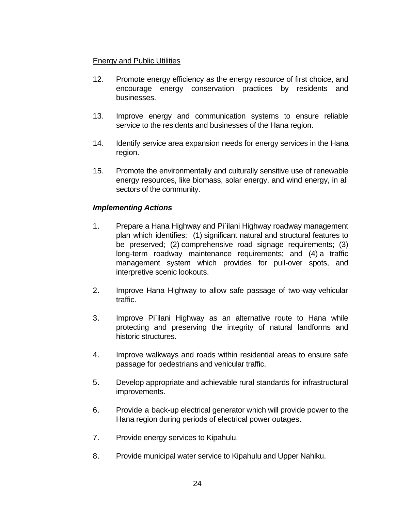#### Energy and Public Utilities

- 12. Promote energy efficiency as the energy resource of first choice, and encourage energy conservation practices by residents and businesses.
- 13. Improve energy and communication systems to ensure reliable service to the residents and businesses of the Hana region.
- 14. Identify service area expansion needs for energy services in the Hana region.
- 15. Promote the environmentally and culturally sensitive use of renewable energy resources, like biomass, solar energy, and wind energy, in all sectors of the community.

#### *Implementing Actions*

- 1. Prepare a Hana Highway and Pi`ilani Highway roadway management plan which identifies: (1) significant natural and structural features to be preserved; (2) comprehensive road signage requirements; (3) long-term roadway maintenance requirements; and (4) a traffic management system which provides for pull-over spots, and interpretive scenic lookouts.
- 2. Improve Hana Highway to allow safe passage of two-way vehicular traffic.
- 3. Improve Pi`ilani Highway as an alternative route to Hana while protecting and preserving the integrity of natural landforms and historic structures.
- 4. Improve walkways and roads within residential areas to ensure safe passage for pedestrians and vehicular traffic.
- 5. Develop appropriate and achievable rural standards for infrastructural improvements.
- 6. Provide a back-up electrical generator which will provide power to the Hana region during periods of electrical power outages.
- 7. Provide energy services to Kipahulu.
- 8. Provide municipal water service to Kipahulu and Upper Nahiku.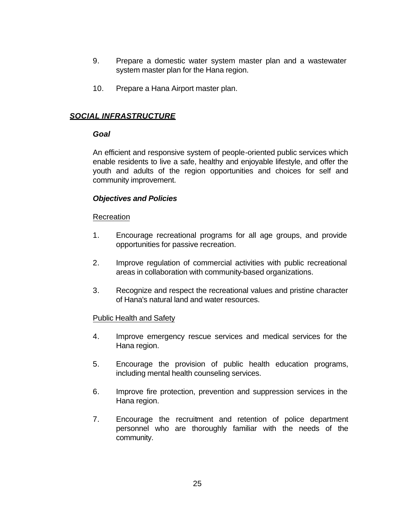- 9. Prepare a domestic water system master plan and a wastewater system master plan for the Hana region.
- 10. Prepare a Hana Airport master plan.

#### *SOCIAL INFRASTRUCTURE*

#### *Goal*

An efficient and responsive system of people-oriented public services which enable residents to live a safe, healthy and enjoyable lifestyle, and offer the youth and adults of the region opportunities and choices for self and community improvement.

#### *Objectives and Policies*

#### Recreation

- 1. Encourage recreational programs for all age groups, and provide opportunities for passive recreation.
- 2. Improve regulation of commercial activities with public recreational areas in collaboration with community-based organizations.
- 3. Recognize and respect the recreational values and pristine character of Hana's natural land and water resources.

#### Public Health and Safety

- 4. Improve emergency rescue services and medical services for the Hana region.
- 5. Encourage the provision of public health education programs, including mental health counseling services.
- 6. Improve fire protection, prevention and suppression services in the Hana region.
- 7. Encourage the recruitment and retention of police department personnel who are thoroughly familiar with the needs of the community.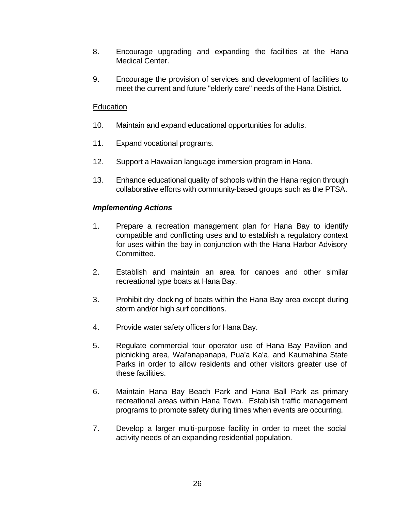- 8. Encourage upgrading and expanding the facilities at the Hana Medical Center.
- 9. Encourage the provision of services and development of facilities to meet the current and future "elderly care" needs of the Hana District.

#### Education

- 10. Maintain and expand educational opportunities for adults.
- 11. Expand vocational programs.
- 12. Support a Hawaiian language immersion program in Hana.
- 13. Enhance educational quality of schools within the Hana region through collaborative efforts with community-based groups such as the PTSA.

#### *Implementing Actions*

- 1. Prepare a recreation management plan for Hana Bay to identify compatible and conflicting uses and to establish a regulatory context for uses within the bay in conjunction with the Hana Harbor Advisory Committee.
- 2. Establish and maintain an area for canoes and other similar recreational type boats at Hana Bay.
- 3. Prohibit dry docking of boats within the Hana Bay area except during storm and/or high surf conditions.
- 4. Provide water safety officers for Hana Bay.
- 5. Regulate commercial tour operator use of Hana Bay Pavilion and picnicking area, Wai'anapanapa, Pua'a Ka'a, and Kaumahina State Parks in order to allow residents and other visitors greater use of these facilities.
- 6. Maintain Hana Bay Beach Park and Hana Ball Park as primary recreational areas within Hana Town. Establish traffic management programs to promote safety during times when events are occurring.
- 7. Develop a larger multi-purpose facility in order to meet the social activity needs of an expanding residential population.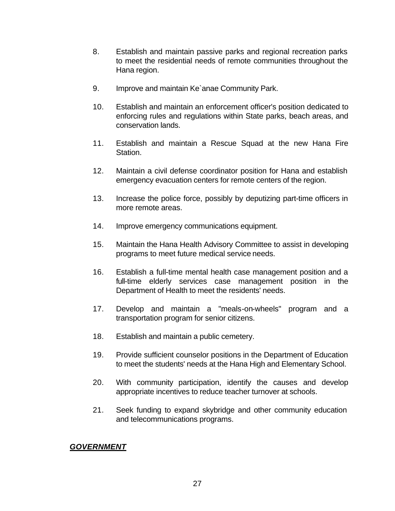- 8. Establish and maintain passive parks and regional recreation parks to meet the residential needs of remote communities throughout the Hana region.
- 9. Improve and maintain Ke`anae Community Park.
- 10. Establish and maintain an enforcement officer's position dedicated to enforcing rules and regulations within State parks, beach areas, and conservation lands.
- 11. Establish and maintain a Rescue Squad at the new Hana Fire Station.
- 12. Maintain a civil defense coordinator position for Hana and establish emergency evacuation centers for remote centers of the region.
- 13. Increase the police force, possibly by deputizing part-time officers in more remote areas.
- 14. Improve emergency communications equipment.
- 15. Maintain the Hana Health Advisory Committee to assist in developing programs to meet future medical service needs.
- 16. Establish a full-time mental health case management position and a full-time elderly services case management position in the Department of Health to meet the residents' needs.
- 17. Develop and maintain a "meals-on-wheels" program and a transportation program for senior citizens.
- 18. Establish and maintain a public cemetery.
- 19. Provide sufficient counselor positions in the Department of Education to meet the students' needs at the Hana High and Elementary School.
- 20. With community participation, identify the causes and develop appropriate incentives to reduce teacher turnover at schools.
- 21. Seek funding to expand skybridge and other community education and telecommunications programs.

*GOVERNMENT*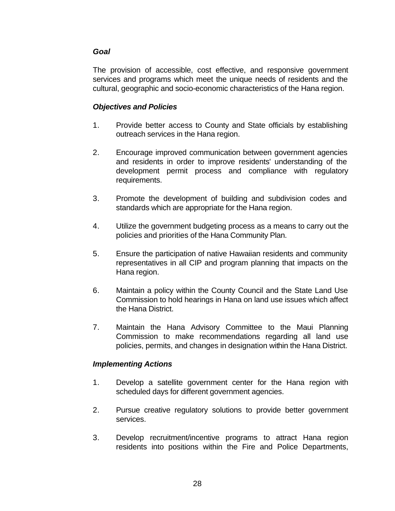#### *Goal*

The provision of accessible, cost effective, and responsive government services and programs which meet the unique needs of residents and the cultural, geographic and socio-economic characteristics of the Hana region.

#### *Objectives and Policies*

- 1. Provide better access to County and State officials by establishing outreach services in the Hana region.
- 2. Encourage improved communication between government agencies and residents in order to improve residents' understanding of the development permit process and compliance with regulatory requirements.
- 3. Promote the development of building and subdivision codes and standards which are appropriate for the Hana region.
- 4. Utilize the government budgeting process as a means to carry out the policies and priorities of the Hana Community Plan.
- 5. Ensure the participation of native Hawaiian residents and community representatives in all CIP and program planning that impacts on the Hana region.
- 6. Maintain a policy within the County Council and the State Land Use Commission to hold hearings in Hana on land use issues which affect the Hana District.
- 7. Maintain the Hana Advisory Committee to the Maui Planning Commission to make recommendations regarding all land use policies, permits, and changes in designation within the Hana District.

#### *Implementing Actions*

- 1. Develop a satellite government center for the Hana region with scheduled days for different government agencies.
- 2. Pursue creative regulatory solutions to provide better government services.
- 3. Develop recruitment/incentive programs to attract Hana region residents into positions within the Fire and Police Departments,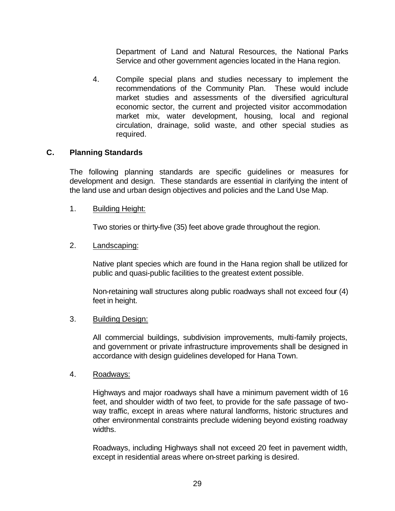Department of Land and Natural Resources, the National Parks Service and other government agencies located in the Hana region.

4. Compile special plans and studies necessary to implement the recommendations of the Community Plan. These would include market studies and assessments of the diversified agricultural economic sector, the current and projected visitor accommodation market mix, water development, housing, local and regional circulation, drainage, solid waste, and other special studies as required.

#### **C. Planning Standards**

The following planning standards are specific guidelines or measures for development and design. These standards are essential in clarifying the intent of the land use and urban design objectives and policies and the Land Use Map.

#### 1. Building Height:

Two stories or thirty-five (35) feet above grade throughout the region.

#### 2. Landscaping:

Native plant species which are found in the Hana region shall be utilized for public and quasi-public facilities to the greatest extent possible.

Non-retaining wall structures along public roadways shall not exceed four (4) feet in height.

#### 3. Building Design:

All commercial buildings, subdivision improvements, multi-family projects, and government or private infrastructure improvements shall be designed in accordance with design guidelines developed for Hana Town.

#### 4. Roadways:

Highways and major roadways shall have a minimum pavement width of 16 feet, and shoulder width of two feet, to provide for the safe passage of twoway traffic, except in areas where natural landforms, historic structures and other environmental constraints preclude widening beyond existing roadway widths.

Roadways, including Highways shall not exceed 20 feet in pavement width, except in residential areas where on-street parking is desired.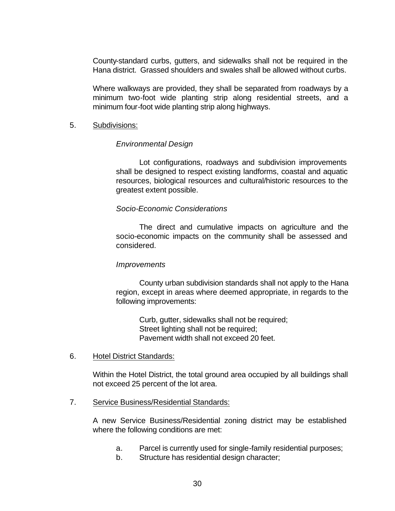County-standard curbs, gutters, and sidewalks shall not be required in the Hana district. Grassed shoulders and swales shall be allowed without curbs.

Where walkways are provided, they shall be separated from roadways by a minimum two-foot wide planting strip along residential streets, and a minimum four-foot wide planting strip along highways.

#### 5. Subdivisions:

#### *Environmental Design*

Lot configurations, roadways and subdivision improvements shall be designed to respect existing landforms, coastal and aquatic resources, biological resources and cultural/historic resources to the greatest extent possible.

#### *Socio-Economic Considerations*

The direct and cumulative impacts on agriculture and the socio-economic impacts on the community shall be assessed and considered.

#### *Improvements*

County urban subdivision standards shall not apply to the Hana region, except in areas where deemed appropriate, in regards to the following improvements:

Curb, gutter, sidewalks shall not be required; Street lighting shall not be required; Pavement width shall not exceed 20 feet.

6. Hotel District Standards:

Within the Hotel District, the total ground area occupied by all buildings shall not exceed 25 percent of the lot area.

#### 7. Service Business/Residential Standards:

A new Service Business/Residential zoning district may be established where the following conditions are met:

- a. Parcel is currently used for single-family residential purposes;
- b. Structure has residential design character;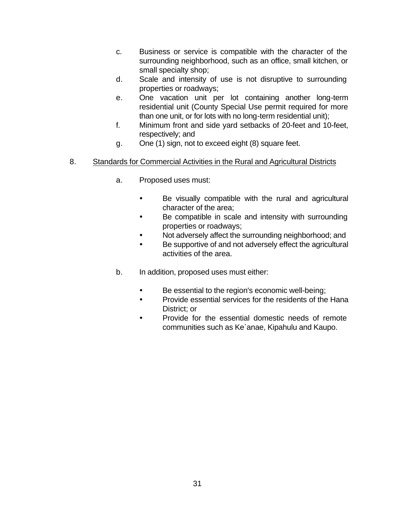- c. Business or service is compatible with the character of the surrounding neighborhood, such as an office, small kitchen, or small specialty shop;
- d. Scale and intensity of use is not disruptive to surrounding properties or roadways;
- e. One vacation unit per lot containing another long-term residential unit (County Special Use permit required for more than one unit, or for lots with no long-term residential unit);
- f. Minimum front and side yard setbacks of 20-feet and 10-feet, respectively; and
- g. One (1) sign, not to exceed eight (8) square feet.

#### 8. Standards for Commercial Activities in the Rural and Agricultural Districts

- a. Proposed uses must:
	- Be visually compatible with the rural and agricultural character of the area;
	- Be compatible in scale and intensity with surrounding properties or roadways;
	- Not adversely affect the surrounding neighborhood; and
	- Be supportive of and not adversely effect the agricultural activities of the area.
- b. In addition, proposed uses must either:
	- Be essential to the region's economic well-being;
	- Provide essential services for the residents of the Hana District; or
	- Provide for the essential domestic needs of remote communities such as Ke`anae, Kipahulu and Kaupo.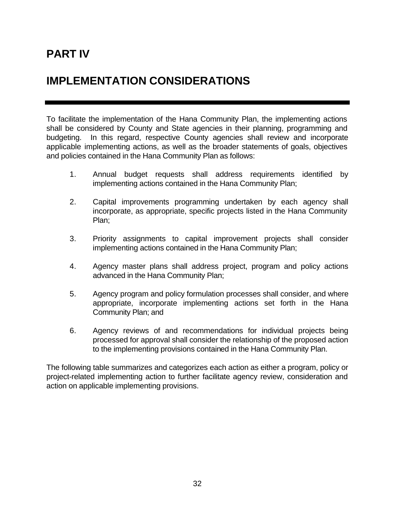## **PART IV**

## **IMPLEMENTATION CONSIDERATIONS**

To facilitate the implementation of the Hana Community Plan, the implementing actions shall be considered by County and State agencies in their planning, programming and budgeting. In this regard, respective County agencies shall review and incorporate applicable implementing actions, as well as the broader statements of goals, objectives and policies contained in the Hana Community Plan as follows:

- 1. Annual budget requests shall address requirements identified by implementing actions contained in the Hana Community Plan;
- 2. Capital improvements programming undertaken by each agency shall incorporate, as appropriate, specific projects listed in the Hana Community Plan;
- 3. Priority assignments to capital improvement projects shall consider implementing actions contained in the Hana Community Plan;
- 4. Agency master plans shall address project, program and policy actions advanced in the Hana Community Plan;
- 5. Agency program and policy formulation processes shall consider, and where appropriate, incorporate implementing actions set forth in the Hana Community Plan; and
- 6. Agency reviews of and recommendations for individual projects being processed for approval shall consider the relationship of the proposed action to the implementing provisions contained in the Hana Community Plan.

The following table summarizes and categorizes each action as either a program, policy or project-related implementing action to further facilitate agency review, consideration and action on applicable implementing provisions.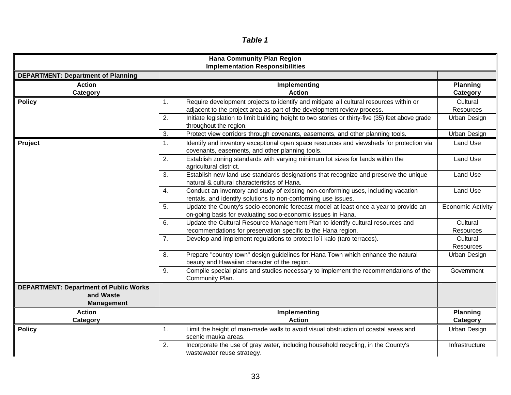| 'Ы<br>Ι |  |
|---------|--|
|---------|--|

| <b>Hana Community Plan Region</b><br><b>Implementation Responsibilities</b>     |                                                                                                                                                                                                                                                                                                              |                                       |  |  |  |  |  |
|---------------------------------------------------------------------------------|--------------------------------------------------------------------------------------------------------------------------------------------------------------------------------------------------------------------------------------------------------------------------------------------------------------|---------------------------------------|--|--|--|--|--|
| <b>DEPARTMENT: Department of Planning</b>                                       |                                                                                                                                                                                                                                                                                                              |                                       |  |  |  |  |  |
| <b>Action</b><br>Category                                                       | Implementing<br><b>Action</b>                                                                                                                                                                                                                                                                                | <b>Planning</b><br>Category           |  |  |  |  |  |
| <b>Policy</b>                                                                   | Require development projects to identify and mitigate all cultural resources within or<br>1.<br>adjacent to the project area as part of the development review process.<br>2.<br>Initiate legislation to limit building height to two stories or thirty-five (35) feet above grade<br>throughout the region. | Cultural<br>Resources<br>Urban Design |  |  |  |  |  |
| Project                                                                         | 3.<br>Protect view corridors through covenants, easements, and other planning tools.<br>1.<br>Identify and inventory exceptional open space resources and viewsheds for protection via<br>covenants, easements, and other planning tools.                                                                    | Urban Design<br>Land Use              |  |  |  |  |  |
|                                                                                 | Establish zoning standards with varying minimum lot sizes for lands within the<br>2.<br>agricultural district.<br>Establish new land use standards designations that recognize and preserve the unique<br>3.<br>natural & cultural characteristics of Hana.                                                  | Land Use<br>Land Use                  |  |  |  |  |  |
|                                                                                 | Conduct an inventory and study of existing non-conforming uses, including vacation<br>4.<br>rentals, and identify solutions to non-conforming use issues.                                                                                                                                                    | Land Use                              |  |  |  |  |  |
|                                                                                 | 5.<br>Update the County's socio-economic forecast model at least once a year to provide an<br>on-going basis for evaluating socio-economic issues in Hana.                                                                                                                                                   | <b>Economic Activity</b>              |  |  |  |  |  |
|                                                                                 | Update the Cultural Resource Management Plan to identify cultural resources and<br>6.<br>recommendations for preservation specific to the Hana region.                                                                                                                                                       | Cultural<br>Resources                 |  |  |  |  |  |
|                                                                                 | 7.<br>Develop and implement regulations to protect lo'i kalo (taro terraces).                                                                                                                                                                                                                                | Cultural<br>Resources                 |  |  |  |  |  |
|                                                                                 | Prepare "country town" design guidelines for Hana Town which enhance the natural<br>8.<br>beauty and Hawaiian character of the region.                                                                                                                                                                       | Urban Design                          |  |  |  |  |  |
|                                                                                 | Compile special plans and studies necessary to implement the recommendations of the<br>9.<br>Community Plan.                                                                                                                                                                                                 | Government                            |  |  |  |  |  |
| <b>DEPARTMENT: Department of Public Works</b><br>and Waste<br><b>Management</b> |                                                                                                                                                                                                                                                                                                              |                                       |  |  |  |  |  |
| <b>Action</b><br>Category                                                       | Implementing<br><b>Action</b>                                                                                                                                                                                                                                                                                | <b>Planning</b><br>Category           |  |  |  |  |  |
| <b>Policy</b>                                                                   | Limit the height of man-made walls to avoid visual obstruction of coastal areas and<br>1.<br>scenic mauka areas.                                                                                                                                                                                             | Urban Design                          |  |  |  |  |  |
|                                                                                 | 2.<br>Incorporate the use of gray water, including household recycling, in the County's<br>wastewater reuse strategy.                                                                                                                                                                                        | Infrastructure                        |  |  |  |  |  |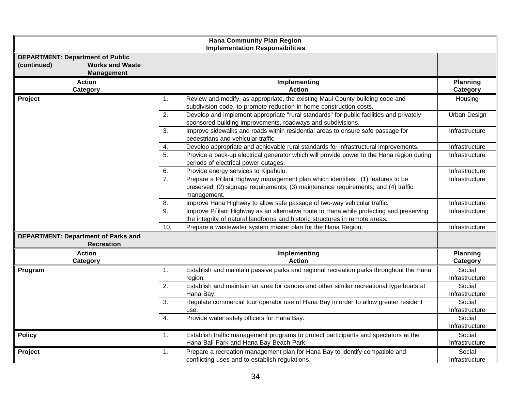| <b>Hana Community Plan Region</b><br><b>Implementation Responsibilities</b>                           |                                                                                                                                                                                            |                          |  |  |  |  |  |
|-------------------------------------------------------------------------------------------------------|--------------------------------------------------------------------------------------------------------------------------------------------------------------------------------------------|--------------------------|--|--|--|--|--|
| <b>DEPARTMENT: Department of Public</b><br>(continued)<br><b>Works and Waste</b><br><b>Management</b> |                                                                                                                                                                                            |                          |  |  |  |  |  |
| <b>Action</b><br>Category                                                                             | Implementing<br><b>Action</b>                                                                                                                                                              | <b>Planning</b>          |  |  |  |  |  |
| Project                                                                                               | Review and modify, as appropriate, the existing Maui County building code and<br>1.<br>subdivision code, to promote reduction in home construction costs.                                  | Category<br>Housing      |  |  |  |  |  |
|                                                                                                       | 2.<br>Develop and implement appropriate "rural standards" for public facilities and privately<br>sponsored building improvements, roadways and subdivisions.                               | Urban Design             |  |  |  |  |  |
|                                                                                                       | Improve sidewalks and roads within residential areas to ensure safe passage for<br>3.<br>pedestrians and vehicular traffic.                                                                | Infrastructure           |  |  |  |  |  |
|                                                                                                       | Develop appropriate and achievable rural standards for infrastructural improvements.<br>4.                                                                                                 | Infrastructure           |  |  |  |  |  |
|                                                                                                       | 5.<br>Provide a back-up electrical generator which will provide power to the Hana region during<br>periods of electrical power outages.                                                    | Infrastructure           |  |  |  |  |  |
|                                                                                                       | Provide energy services to Kipahulu.<br>6.                                                                                                                                                 | Infrastructure           |  |  |  |  |  |
|                                                                                                       | 7.<br>Prepare a Pi'ilani Highway management plan which identifies: (1) features to be<br>preserved; (2) signage requirements; (3) maintenance requirements; and (4) traffic<br>management. | Infrastructure           |  |  |  |  |  |
|                                                                                                       | Improve Hana Highway to allow safe passage of two-way vehicular traffic.<br>8.                                                                                                             | Infrastructure           |  |  |  |  |  |
|                                                                                                       | Improve Pi`ilani Highway as an alternative route to Hana while protecting and preserving<br>9.<br>the integrity of natural landforms and historic structures in remote areas.              | Infrastructure           |  |  |  |  |  |
|                                                                                                       | 10.<br>Prepare a wastewater system master plan for the Hana Region.                                                                                                                        | Infrastructure           |  |  |  |  |  |
| <b>DEPARTMENT: Department of Parks and</b><br><b>Recreation</b>                                       |                                                                                                                                                                                            |                          |  |  |  |  |  |
| <b>Action</b>                                                                                         | Implementing                                                                                                                                                                               | <b>Planning</b>          |  |  |  |  |  |
| Category                                                                                              | <b>Action</b>                                                                                                                                                                              | Category                 |  |  |  |  |  |
| Program                                                                                               | Establish and maintain passive parks and regional recreation parks throughout the Hana<br>1.<br>region.                                                                                    | Social<br>Infrastructure |  |  |  |  |  |
|                                                                                                       | Establish and maintain an area for canoes and other similar recreational type boats at<br>2.<br>Hana Bay.                                                                                  | Social<br>Infrastructure |  |  |  |  |  |
|                                                                                                       | Regulate commercial tour operator use of Hana Bay in order to allow greater resident<br>3.<br>use.                                                                                         | Social<br>Infrastructure |  |  |  |  |  |
|                                                                                                       | 4.<br>Provide water safety officers for Hana Bay.                                                                                                                                          | Social<br>Infrastructure |  |  |  |  |  |
| <b>Policy</b>                                                                                         | 1.<br>Establish traffic management programs to protect participants and spectators at the<br>Hana Ball Park and Hana Bay Beach Park.                                                       | Social<br>Infrastructure |  |  |  |  |  |
| Project                                                                                               | Prepare a recreation management plan for Hana Bay to identify compatible and<br>1.<br>conflicting uses and to establish regulations.                                                       | Social<br>Infrastructure |  |  |  |  |  |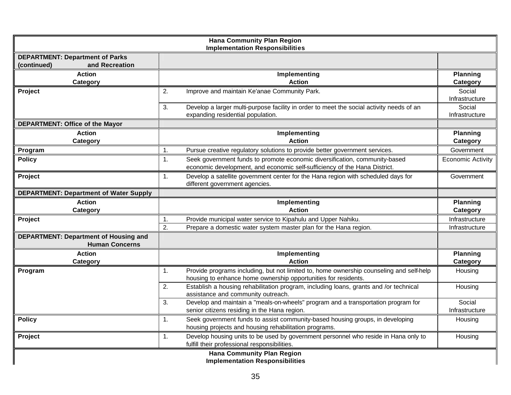| <b>Hana Community Plan Region</b><br><b>Implementation Responsibilities</b> |                                                                                                                                                                 |                             |  |  |  |  |  |
|-----------------------------------------------------------------------------|-----------------------------------------------------------------------------------------------------------------------------------------------------------------|-----------------------------|--|--|--|--|--|
| <b>DEPARTMENT: Department of Parks</b><br>and Recreation<br>(continued)     |                                                                                                                                                                 |                             |  |  |  |  |  |
| <b>Action</b><br>Category                                                   | Implementing<br><b>Action</b>                                                                                                                                   | <b>Planning</b><br>Category |  |  |  |  |  |
| Project                                                                     | 2.<br>Improve and maintain Ke'anae Community Park.                                                                                                              | Social<br>Infrastructure    |  |  |  |  |  |
|                                                                             | 3.<br>Develop a larger multi-purpose facility in order to meet the social activity needs of an<br>expanding residential population.                             | Social<br>Infrastructure    |  |  |  |  |  |
| DEPARTMENT: Office of the Mayor                                             |                                                                                                                                                                 |                             |  |  |  |  |  |
| <b>Action</b><br>Category                                                   | Implementing<br><b>Action</b>                                                                                                                                   | <b>Planning</b><br>Category |  |  |  |  |  |
| Program                                                                     | $\mathbf 1$ .<br>Pursue creative regulatory solutions to provide better government services.                                                                    | Government                  |  |  |  |  |  |
| <b>Policy</b>                                                               | Seek government funds to promote economic diversification, community-based<br>1.<br>economic development, and economic self-sufficiency of the Hana District.   | <b>Economic Activity</b>    |  |  |  |  |  |
| Project                                                                     | Develop a satellite government center for the Hana region with scheduled days for<br>1.<br>different government agencies.                                       | Government                  |  |  |  |  |  |
| <b>DEPARTMENT: Department of Water Supply</b>                               |                                                                                                                                                                 |                             |  |  |  |  |  |
|                                                                             |                                                                                                                                                                 |                             |  |  |  |  |  |
| <b>Action</b><br>Category                                                   | Implementing<br><b>Action</b>                                                                                                                                   | <b>Planning</b><br>Category |  |  |  |  |  |
| Project                                                                     | Provide municipal water service to Kipahulu and Upper Nahiku.<br>1.                                                                                             | Infrastructure              |  |  |  |  |  |
|                                                                             | 2.<br>Prepare a domestic water system master plan for the Hana region.                                                                                          | Infrastructure              |  |  |  |  |  |
| <b>DEPARTMENT: Department of Housing and</b><br><b>Human Concerns</b>       |                                                                                                                                                                 |                             |  |  |  |  |  |
| <b>Action</b><br>Category                                                   | Implementing<br><b>Action</b>                                                                                                                                   | <b>Planning</b><br>Category |  |  |  |  |  |
| Program                                                                     | Provide programs including, but not limited to, home ownership counseling and self-help<br>1.<br>housing to enhance home ownership opportunities for residents. | Housing                     |  |  |  |  |  |
|                                                                             | 2.<br>Establish a housing rehabilitation program, including loans, grants and /or technical<br>assistance and community outreach.                               | Housing                     |  |  |  |  |  |
|                                                                             | Develop and maintain a "meals-on-wheels" program and a transportation program for<br>3.<br>senior citizens residing in the Hana region.                         | Social<br>Infrastructure    |  |  |  |  |  |
| <b>Policy</b>                                                               | Seek government funds to assist community-based housing groups, in developing<br>1.<br>housing projects and housing rehabilitation programs.                    | Housing                     |  |  |  |  |  |
| Project                                                                     | Develop housing units to be used by government personnel who reside in Hana only to<br>1.<br>fulfill their professional responsibilities.                       | Housing                     |  |  |  |  |  |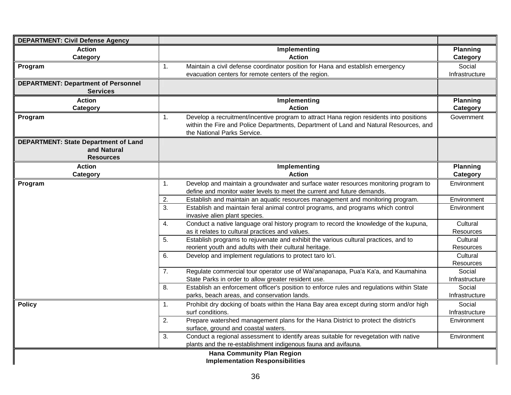| <b>DEPARTMENT: Civil Defense Agency</b>                    |                                                                                                                                                |                     |
|------------------------------------------------------------|------------------------------------------------------------------------------------------------------------------------------------------------|---------------------|
| <b>Action</b>                                              | Implementing                                                                                                                                   | <b>Planning</b>     |
| <b>Category</b>                                            | <b>Action</b>                                                                                                                                  | Category            |
| Program                                                    | Maintain a civil defense coordinator position for Hana and establish emergency<br>1.                                                           | Social              |
|                                                            | evacuation centers for remote centers of the region.                                                                                           | Infrastructure      |
| <b>DEPARTMENT: Department of Personnel</b>                 |                                                                                                                                                |                     |
| <b>Services</b>                                            |                                                                                                                                                |                     |
| <b>Action</b>                                              | Implementing                                                                                                                                   | <b>Planning</b>     |
| Category                                                   | <b>Action</b>                                                                                                                                  | Category            |
| Program                                                    | Develop a recruitment/incentive program to attract Hana region residents into positions<br>1.                                                  | Government          |
|                                                            | within the Fire and Police Departments, Department of Land and Natural Resources, and                                                          |                     |
|                                                            | the National Parks Service.                                                                                                                    |                     |
| <b>DEPARTMENT: State Department of Land</b><br>and Natural |                                                                                                                                                |                     |
| <b>Resources</b>                                           |                                                                                                                                                |                     |
| <b>Action</b>                                              | Implementing                                                                                                                                   | <b>Planning</b>     |
| Category                                                   | <b>Action</b>                                                                                                                                  | Category            |
| Program                                                    | Develop and maintain a groundwater and surface water resources monitoring program to<br>1.                                                     | Environment         |
|                                                            | define and monitor water levels to meet the current and future demands.                                                                        |                     |
|                                                            | Establish and maintain an aquatic resources management and monitoring program.<br>2.                                                           | Environment         |
|                                                            | Establish and maintain feral animal control programs, and programs which control<br>3.                                                         | Environment         |
|                                                            | invasive alien plant species.                                                                                                                  |                     |
|                                                            | Conduct a native language oral history program to record the knowledge of the kupuna,<br>4.                                                    | Cultural            |
|                                                            | as it relates to cultural practices and values.                                                                                                | Resources           |
|                                                            | Establish programs to rejuvenate and exhibit the various cultural practices, and to<br>5.                                                      | Cultural            |
|                                                            | reorient youth and adults with their cultural heritage.                                                                                        | Resources           |
|                                                            | 6.<br>Develop and implement regulations to protect taro lo'i.                                                                                  | Cultural            |
|                                                            |                                                                                                                                                | Resources<br>Social |
|                                                            | Regulate commercial tour operator use of Wai'anapanapa, Pua'a Ka'a, and Kaumahina<br>7.<br>State Parks in order to allow greater resident use. | Infrastructure      |
|                                                            | Establish an enforcement officer's position to enforce rules and regulations within State<br>8.                                                | Social              |
|                                                            | parks, beach areas, and conservation lands.                                                                                                    | Infrastructure      |
| <b>Policy</b>                                              | Prohibit dry docking of boats within the Hana Bay area except during storm and/or high<br>1.                                                   | Social              |
|                                                            | surf conditions.                                                                                                                               | Infrastructure      |
|                                                            | $\overline{2}$ .<br>Prepare watershed management plans for the Hana District to protect the district's                                         | Environment         |
|                                                            | surface, ground and coastal waters.                                                                                                            |                     |
|                                                            | Conduct a regional assessment to identify areas suitable for revegetation with native<br>3.                                                    | Environment         |
|                                                            | plants and the re-establishment indigenous fauna and avifauna.                                                                                 |                     |
|                                                            | Hana Community Plan Region                                                                                                                     |                     |
|                                                            | <b>Implementation Responsibilities</b>                                                                                                         |                     |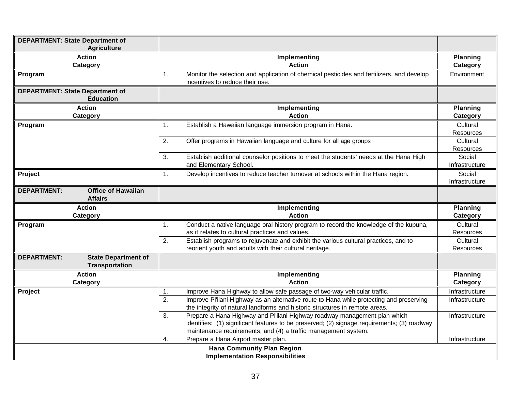| <b>DEPARTMENT: State Department of</b><br><b>Agriculture</b>              |                                                                                                                                                                                                                                                  |                              |
|---------------------------------------------------------------------------|--------------------------------------------------------------------------------------------------------------------------------------------------------------------------------------------------------------------------------------------------|------------------------------|
| <b>Action</b>                                                             | Implementing                                                                                                                                                                                                                                     | <b>Planning</b>              |
| Category                                                                  | <b>Action</b>                                                                                                                                                                                                                                    | Category                     |
| Program                                                                   | Monitor the selection and application of chemical pesticides and fertilizers, and develop<br>1.<br>incentives to reduce their use.                                                                                                               | Environment                  |
| <b>DEPARTMENT: State Department of</b><br><b>Education</b>                |                                                                                                                                                                                                                                                  |                              |
| <b>Action</b><br><b>Category</b>                                          | Implementing<br><b>Action</b>                                                                                                                                                                                                                    | <b>Planning</b><br>Category  |
| Program                                                                   | Establish a Hawaiian language immersion program in Hana.<br>$\mathbf{1}$ .                                                                                                                                                                       | Cultural<br><b>Resources</b> |
|                                                                           | 2.<br>Offer programs in Hawaiian language and culture for all age groups                                                                                                                                                                         | Cultural<br>Resources        |
|                                                                           | Establish additional counselor positions to meet the students' needs at the Hana High<br>3.<br>and Elementary School.                                                                                                                            | Social<br>Infrastructure     |
| Project                                                                   | Develop incentives to reduce teacher turnover at schools within the Hana region.<br>1.                                                                                                                                                           | Social<br>Infrastructure     |
| <b>Office of Hawaiian</b><br><b>DEPARTMENT:</b><br><b>Affairs</b>         |                                                                                                                                                                                                                                                  |                              |
| <b>Action</b>                                                             | Implementing                                                                                                                                                                                                                                     | <b>Planning</b>              |
| <b>Category</b>                                                           | <b>Action</b>                                                                                                                                                                                                                                    | Category                     |
| Program                                                                   | Conduct a native language oral history program to record the knowledge of the kupuna,<br>1.<br>as it relates to cultural practices and values.                                                                                                   | Cultural<br>Resources        |
|                                                                           | 2.<br>Establish programs to rejuvenate and exhibit the various cultural practices, and to<br>reorient youth and adults with their cultural heritage.                                                                                             | Cultural<br>Resources        |
| <b>DEPARTMENT:</b><br><b>State Department of</b><br><b>Transportation</b> |                                                                                                                                                                                                                                                  |                              |
| <b>Action</b><br>Category                                                 | Implementing<br><b>Action</b>                                                                                                                                                                                                                    | <b>Planning</b><br>Category  |
| Project                                                                   | Improve Hana Highway to allow safe passage of two-way vehicular traffic.<br>1.                                                                                                                                                                   | Infrastructure               |
|                                                                           | 2.<br>Improve Pi'ilani Highway as an alternative route to Hana while protecting and preserving<br>the integrity of natural landforms and historic structures in remote areas.                                                                    | Infrastructure               |
|                                                                           | Prepare a Hana Highway and Pi'ilani Highway roadway management plan which<br>3.<br>identifies: (1) significant features to be preserved; (2) signage requirements; (3) roadway<br>maintenance requirements; and (4) a traffic management system. | Infrastructure               |
|                                                                           | Prepare a Hana Airport master plan.<br>4.                                                                                                                                                                                                        | Infrastructure               |
|                                                                           | <b>Hana Community Plan Region</b><br><b>Implementation Responsibilities</b>                                                                                                                                                                      |                              |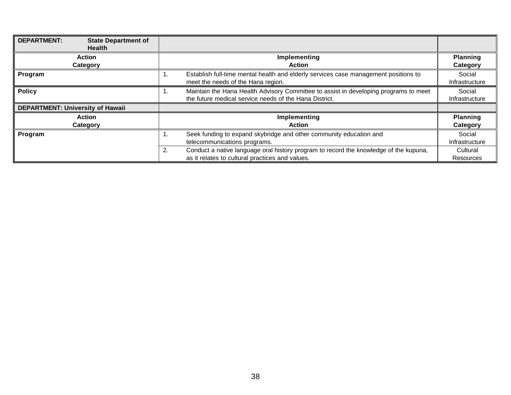| <b>DEPARTMENT:</b><br><b>State Department of</b><br><b>Health</b> |                                                                                                                                                      |                              |
|-------------------------------------------------------------------|------------------------------------------------------------------------------------------------------------------------------------------------------|------------------------------|
| Action                                                            | Implementing                                                                                                                                         | <b>Planning</b>              |
| <b>Category</b>                                                   | <b>Action</b>                                                                                                                                        | Category                     |
| Program                                                           | Establish full-time mental health and elderly services case management positions to<br>1.<br>meet the needs of the Hana region.                      | Social<br>Infrastructure     |
| <b>Policy</b>                                                     | Maintain the Hana Health Advisory Committee to assist in developing programs to meet<br>1.<br>the future medical service needs of the Hana District. | Social<br>Infrastructure     |
| <b>DEPARTMENT: University of Hawaii</b>                           |                                                                                                                                                      |                              |
| Action                                                            | Implementing                                                                                                                                         | <b>Planning</b>              |
| Category                                                          | <b>Action</b>                                                                                                                                        | Category                     |
| Program                                                           | Seek funding to expand skybridge and other community education and<br>1.<br>telecommunications programs.                                             | Social<br>Infrastructure     |
|                                                                   | 2.<br>Conduct a native language oral history program to record the knowledge of the kupuna,<br>as it relates to cultural practices and values.       | Cultural<br><b>Resources</b> |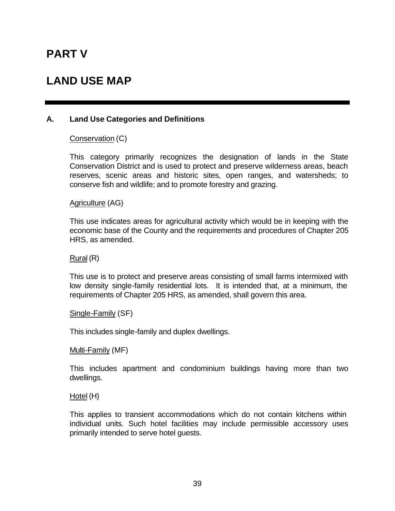### **PART V**

### **LAND USE MAP**

#### **A. Land Use Categories and Definitions**

Conservation (C)

This category primarily recognizes the designation of lands in the State Conservation District and is used to protect and preserve wilderness areas, beach reserves, scenic areas and historic sites, open ranges, and watersheds; to conserve fish and wildlife; and to promote forestry and grazing.

Agriculture (AG)

This use indicates areas for agricultural activity which would be in keeping with the economic base of the County and the requirements and procedures of Chapter 205 HRS, as amended.

Rural (R)

This use is to protect and preserve areas consisting of small farms intermixed with low density single-family residential lots. It is intended that, at a minimum, the requirements of Chapter 205 HRS, as amended, shall govern this area.

Single-Family (SF)

This includes single-family and duplex dwellings.

Multi-Family (MF)

This includes apartment and condominium buildings having more than two dwellings.

Hotel (H)

This applies to transient accommodations which do not contain kitchens within individual units. Such hotel facilities may include permissible accessory uses primarily intended to serve hotel guests.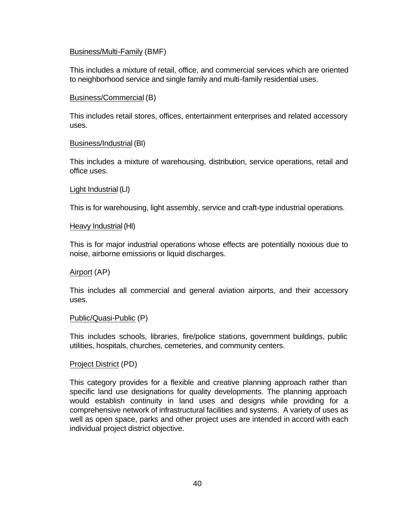#### Business/Multi-Family (BMF)

This includes a mixture of retail, office, and commercial services which are oriented to neighborhood service and single family and multi-family residential uses.

#### Business/Commercial (B)

This includes retail stores, offices, entertainment enterprises and related accessory uses.

#### Business/Industrial (BI)

This includes a mixture of warehousing, distribution, service operations, retail and office uses.

#### Light Industrial (LI)

This is for warehousing, light assembly, service and craft-type industrial operations.

#### Heavy Industrial (HI)

This is for major industrial operations whose effects are potentially noxious due to noise, airborne emissions or liquid discharges.

#### Airport (AP)

This includes all commercial and general aviation airports, and their accessory uses.

#### Public/Quasi-Public (P)

This includes schools, libraries, fire/police stations, government buildings, public utilities, hospitals, churches, cemeteries, and community centers.

#### Project District (PD)

This category provides for a flexible and creative planning approach rather than specific land use designations for quality developments. The planning approach would establish continuity in land uses and designs while providing for a comprehensive network of infrastructural facilities and systems. A variety of uses as well as open space, parks and other project uses are intended in accord with each individual project district objective.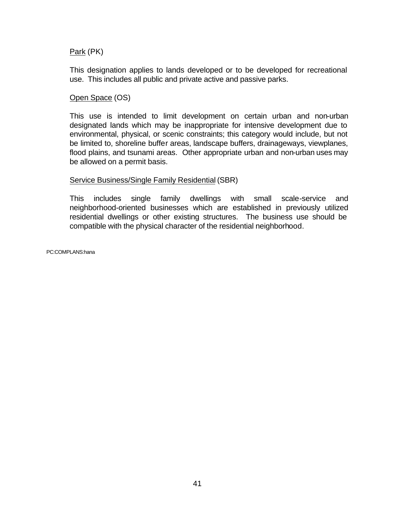#### Park (PK)

This designation applies to lands developed or to be developed for recreational use. This includes all public and private active and passive parks.

#### Open Space (OS)

This use is intended to limit development on certain urban and non-urban designated lands which may be inappropriate for intensive development due to environmental, physical, or scenic constraints; this category would include, but not be limited to, shoreline buffer areas, landscape buffers, drainageways, viewplanes, flood plains, and tsunami areas. Other appropriate urban and non-urban uses may be allowed on a permit basis.

#### Service Business/Single Family Residential (SBR)

This includes single family dwellings with small scale-service and neighborhood-oriented businesses which are established in previously utilized residential dwellings or other existing structures. The business use should be compatible with the physical character of the residential neighborhood.

PC:COMPLANS:hana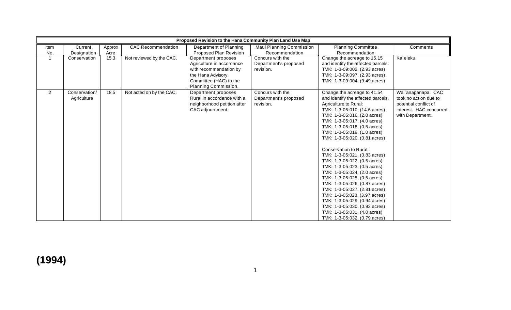|      | Proposed Revision to the Hana Community Plan Land Use Map |        |                           |                             |                          |                                    |                         |
|------|-----------------------------------------------------------|--------|---------------------------|-----------------------------|--------------------------|------------------------------------|-------------------------|
| Item | Current                                                   | Approx | <b>CAC Recommendation</b> | Department of Planning      | Maui Planning Commission | <b>Planning Committee</b>          | Comments                |
| No.  | Designation                                               | Acre   |                           | Proposed Plan Revision      | Recommendation           | Recommendation                     |                         |
|      | Conservation                                              | 15.3   | Not reviewed by the CAC.  | Department proposes         | Concurs with the         | Change the acreage to 15.15        | Ka`eleku.               |
|      |                                                           |        |                           | Agriculture in accordance   | Department's proposed    | and identify the affected parcels: |                         |
|      |                                                           |        |                           | with recommendation by      | revision.                | TMK: 1-3-09:002, (2.93 acres)      |                         |
|      |                                                           |        |                           | the Hana Advisory           |                          | TMK: 1-3-09:097, (2.93 acres)      |                         |
|      |                                                           |        |                           | Committee (HAC) to the      |                          | TMK: 1-3-09:004, (9.49 acres)      |                         |
|      |                                                           |        |                           | Planning Commission.        |                          |                                    |                         |
| 2    | Conservation/                                             | 18.5   | Not acted on by the CAC.  | Department proposes         | Concurs with the         | Change the acreage to 41.54        | Wai`anapanapa. CAC      |
|      | Agriculture                                               |        |                           | Rural in accordance with a  | Department's proposed    | and identify the affected parcels. | took no action due to   |
|      |                                                           |        |                           | neighborhood petition after | revision.                | Agriculture to Rural:              | potential conflict of   |
|      |                                                           |        |                           | CAC adjournment.            |                          | TMK: 1-3-05:010, (14.6 acres)      | interest. HAC concurred |
|      |                                                           |        |                           |                             |                          | TMK: 1-3-05:016, (2.0 acres)       | with Department.        |
|      |                                                           |        |                           |                             |                          | TMK: 1-3-05:017, (4.0 acres)       |                         |
|      |                                                           |        |                           |                             |                          | TMK: 1-3-05:018, (0.5 acres)       |                         |
|      |                                                           |        |                           |                             |                          | TMK: 1-3-05:019, (1.0 acres)       |                         |
|      |                                                           |        |                           |                             |                          | TMK: 1-3-05:020, (0.81 acres)      |                         |
|      |                                                           |        |                           |                             |                          |                                    |                         |
|      |                                                           |        |                           |                             |                          | Conservation to Rural:             |                         |
|      |                                                           |        |                           |                             |                          | TMK: 1-3-05:021, (0.83 acres)      |                         |
|      |                                                           |        |                           |                             |                          | TMK: 1-3-05:022, (0.5 acres)       |                         |
|      |                                                           |        |                           |                             |                          | TMK: 1-3-05:023, (0.5 acres)       |                         |
|      |                                                           |        |                           |                             |                          | TMK: 1-3-05:024, (2.0 acres)       |                         |
|      |                                                           |        |                           |                             |                          | TMK: 1-3-05:025, (0.5 acres)       |                         |
|      |                                                           |        |                           |                             |                          | TMK: 1-3-05:026, (0.87 acres)      |                         |
|      |                                                           |        |                           |                             |                          | TMK: 1-3-05:027, (2.81 acres)      |                         |
|      |                                                           |        |                           |                             |                          | TMK: 1-3-05:028, (3.97 acres)      |                         |
|      |                                                           |        |                           |                             |                          | TMK: 1-3-05:029, (0.94 acres)      |                         |
|      |                                                           |        |                           |                             |                          | TMK: 1-3-05:030, (0.92 acres)      |                         |
|      |                                                           |        |                           |                             |                          | TMK: 1-3-05:031, (4.0 acres)       |                         |
|      |                                                           |        |                           |                             |                          | TMK: 1-3-05:032, (0.79 acres)      |                         |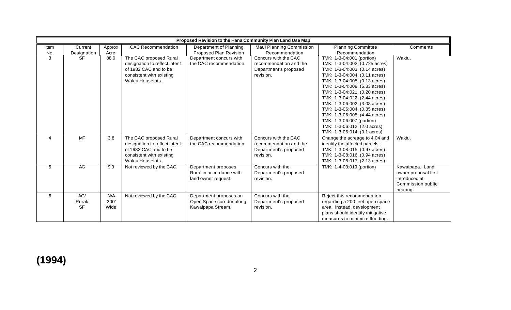|      | Proposed Revision to the Hana Community Plan Land Use Map |        |                               |                           |                          |                                  |                      |  |
|------|-----------------------------------------------------------|--------|-------------------------------|---------------------------|--------------------------|----------------------------------|----------------------|--|
| Item | Current                                                   | Approx | <b>CAC Recommendation</b>     | Department of Planning    | Maui Planning Commission | <b>Planning Committee</b>        | Comments             |  |
| No.  | Designation<br>SF                                         | Acre   |                               | Proposed Plan Revision    | Recommendation           | Recommendation                   |                      |  |
| 3    |                                                           | 88.0   | The CAC proposed Rural        | Department concurs with   | Concurs with the CAC     | TMK: 1-3-04:001 (portion)        | Wakiu.               |  |
|      |                                                           |        | designation to reflect intent | the CAC recommendation.   | recommendation and the   | TMK: 1-3-04:002, (0.725 acres)   |                      |  |
|      |                                                           |        | of 1982 CAC and to be         |                           | Department's proposed    | TMK: 1-3-04:003, (0.14 acres)    |                      |  |
|      |                                                           |        | consistent with existing      |                           | revision.                | TMK: 1-3-04:004, (0.11 acres)    |                      |  |
|      |                                                           |        | Wakiu Houselots.              |                           |                          | TMK: 1-3-04:005, (0.13 acres)    |                      |  |
|      |                                                           |        |                               |                           |                          | TMK: 1-3-04:009, (5.33 acres)    |                      |  |
|      |                                                           |        |                               |                           |                          | TMK: 1-3-04:021, (0.20 acres)    |                      |  |
|      |                                                           |        |                               |                           |                          | TMK: 1-3-04:022, (2.44 acres)    |                      |  |
|      |                                                           |        |                               |                           |                          | TMK: 1-3-06:002, (3.08 acres)    |                      |  |
|      |                                                           |        |                               |                           |                          | TMK: 1-3-06:004, (0.85 acres)    |                      |  |
|      |                                                           |        |                               |                           |                          | TMK: 1-3-06:005, (4.44 acres)    |                      |  |
|      |                                                           |        |                               |                           |                          | TMK: 1-3-06:007 (portion)        |                      |  |
|      |                                                           |        |                               |                           |                          | TMK: 1-3-06:013, (2.0 acres)     |                      |  |
|      |                                                           |        |                               |                           |                          | TMK: 1-3-06:014, (0.1 acres)     |                      |  |
| 4    | MF                                                        | 3.8    | The CAC proposed Rural        | Department concurs with   | Concurs with the CAC     | Change the acreage to 4.04 and   | Wakiu.               |  |
|      |                                                           |        | designation to reflect intent | the CAC recommendation.   | recommendation and the   | identify the affected parcels:   |                      |  |
|      |                                                           |        | of 1982 CAC and to be         |                           | Department's proposed    | TMK: 1-3-08:015, (0.97 acres)    |                      |  |
|      |                                                           |        | consistent with existing      |                           | revision.                | TMK: 1-3-08:016, (0.94 acres)    |                      |  |
|      |                                                           |        | Wakiu Houselots.              |                           |                          | TMK: 1-3-08:017, (2.13 acres)    |                      |  |
| 5    | AG                                                        | 9.3    | Not reviewed by the CAC.      | Department proposes       | Concurs with the         | TMK: 1-4-03:019 (portion)        | Kawaipapa. Land      |  |
|      |                                                           |        |                               | Rural in accordance with  | Department's proposed    |                                  | owner proposal first |  |
|      |                                                           |        |                               | land owner request.       | revision.                |                                  | introduced at        |  |
|      |                                                           |        |                               |                           |                          |                                  | Commission public    |  |
|      |                                                           |        |                               |                           |                          |                                  | hearing.             |  |
| 6    | AG/                                                       | N/A    | Not reviewed by the CAC.      | Department proposes an    | Concurs with the         | Reject this recommendation       |                      |  |
|      | Rural/                                                    | 200'   |                               | Open Space corridor along | Department's proposed    | regarding a 200 feet open space  |                      |  |
|      | <b>SF</b>                                                 | Wide   |                               | Kawaipapa Stream.         | revision.                | area. Instead, development       |                      |  |
|      |                                                           |        |                               |                           |                          | plans should identify mitigative |                      |  |
|      |                                                           |        |                               |                           |                          | measures to minimize flooding.   |                      |  |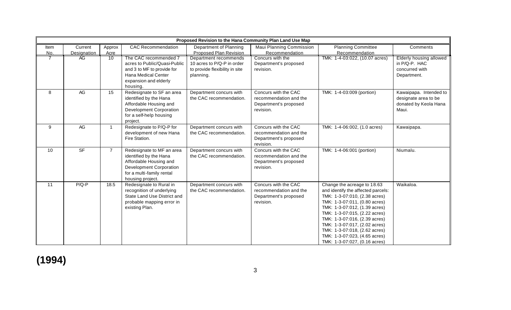|      |                    |                |                                                                                                                                                           | Proposed Revision to the Hana Community Plan Land Use Map                                          |                                                                                      |                                                                                                                                                                                                                                                                                                                                                                            |                                                                                  |
|------|--------------------|----------------|-----------------------------------------------------------------------------------------------------------------------------------------------------------|----------------------------------------------------------------------------------------------------|--------------------------------------------------------------------------------------|----------------------------------------------------------------------------------------------------------------------------------------------------------------------------------------------------------------------------------------------------------------------------------------------------------------------------------------------------------------------------|----------------------------------------------------------------------------------|
| Item | Current            | Approx         | <b>CAC Recommendation</b>                                                                                                                                 | Department of Planning                                                                             | Maui Planning Commission                                                             | <b>Planning Committee</b>                                                                                                                                                                                                                                                                                                                                                  | Comments                                                                         |
| No.  | <b>Designation</b> | Acre           |                                                                                                                                                           | <b>Proposed Plan Revision</b>                                                                      | Recommendation                                                                       | Recommendation                                                                                                                                                                                                                                                                                                                                                             |                                                                                  |
|      | AG.                | 10             | The CAC recommended 7<br>acres to Public/Quasi-Public<br>and 3 to MF to provide for<br>Hana Medical Center<br>expansion and elderly<br>housing.           | Department recommends<br>10 acres to P/Q-P in order<br>to provide flexibility in site<br>planning. | Concurs with the<br>Department's proposed<br>revision.                               | TMK: 1-4-03:022, (10.07 acres)                                                                                                                                                                                                                                                                                                                                             | <b>Elderly housing allowed</b><br>in P/Q-P. HAC<br>concurred with<br>Department. |
| 8    | AG                 | 15             | Redesignate to SF an area<br>identified by the Hana<br>Affordable Housing and<br><b>Development Corporation</b><br>for a self-help housing<br>project.    | Department concurs with<br>the CAC recommendation.                                                 | Concurs with the CAC<br>recommendation and the<br>Department's proposed<br>revision. | TMK: 1-4-03:009 (portion)                                                                                                                                                                                                                                                                                                                                                  | Kawaipapa. Intended to<br>designate area to be<br>donated by Keola Hana<br>Maui. |
| 9    | AG                 | $\mathbf{1}$   | Redesignate to P/Q-P for<br>development of new Hana<br>Fire Station.                                                                                      | Department concurs with<br>the CAC recommendation.                                                 | Concurs with the CAC<br>recommendation and the<br>Department's proposed<br>revision. | TMK: 1-4-06:002, (1.0 acres)                                                                                                                                                                                                                                                                                                                                               | Kawaipapa.                                                                       |
| 10   | S <sub>F</sub>     | $\overline{7}$ | Redesignate to MF an area<br>identified by the Hana<br>Affordable Housing and<br>Development Corporation<br>for a multi-family rental<br>housing project. | Department concurs with<br>the CAC recommendation.                                                 | Concurs with the CAC<br>recommendation and the<br>Department's proposed<br>revision. | TMK: 1-4-06:001 (portion)                                                                                                                                                                                                                                                                                                                                                  | Niumalu.                                                                         |
| 11   | $P/Q-P$            | 18.5           | Redesignate to Rural in<br>recognition of underlying<br>State Land Use District and<br>probable mapping error in<br>existing Plan.                        | Department concurs with<br>the CAC recommendation.                                                 | Concurs with the CAC<br>recommendation and the<br>Department's proposed<br>revision. | Change the acreage to 18.63<br>and identify the affected parcels:<br>TMK: 1-3-07:010, (2.38 acres)<br>TMK: 1-3-07:011, (0.80 acres)<br>TMK: 1-3-07:012, (1.39 acres)<br>TMK: 1-3-07:015, (2.22 acres)<br>TMK: 1-3-07:016, (2.39 acres)<br>TMK: 1-3-07:017, (2.02 acres)<br>TMK: 1-3-07:018, (2.62 acres)<br>TMK: 1-3-07:023, (4.65 acres)<br>TMK: 1-3-07:027, (0.16 acres) | Waikaloa.                                                                        |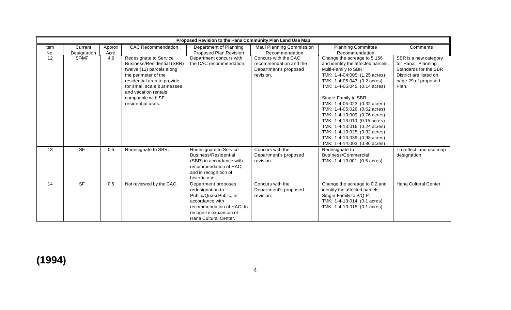|                 | Proposed Revision to the Hana Community Plan Land Use Map |        |                                   |                           |                                 |                                    |                         |
|-----------------|-----------------------------------------------------------|--------|-----------------------------------|---------------------------|---------------------------------|------------------------------------|-------------------------|
| Item            | Current                                                   | Approx | <b>CAC Recommendation</b>         | Department of Planning    | <b>Maui Planning Commission</b> | <b>Planning Committee</b>          | Comments                |
| No.             | <b>Designation</b>                                        | Acre   |                                   | Proposed Plan Revision    | Recommendation                  | Recommendation                     |                         |
| $\overline{12}$ | SF/MF                                                     | 4.6    | <b>Redesignate to Service</b>     | Department concurs with   | Concurs with the CAC            | Change the acreage to 5.156        | SBR is a new category   |
|                 |                                                           |        | <b>Business/Residential (SBR)</b> | the CAC recommendation.   | recommendation and the          | and identify the affected parcels. | for Hana. Planning      |
|                 |                                                           |        | twelve (12) parcels along         |                           | Department's proposed           | Multi-Family to SBR:               | Standards for the SBR   |
|                 |                                                           |        | the perimeter of the              |                           | revision.                       | TMK: 1-4-04:005, (1.25 acres)      | District are listed on  |
|                 |                                                           |        | residential area to provide       |                           |                                 | TMK: 1-4-05:043, (0.2 acres)       | page 29 of proposed     |
|                 |                                                           |        | for small scale businesses        |                           |                                 | TMK: 1-4-05:045, (0.14 acres)      | Plan.                   |
|                 |                                                           |        | and vacation rentals              |                           |                                 |                                    |                         |
|                 |                                                           |        | compatible with SF                |                           |                                 | Single-Family to SBR:              |                         |
|                 |                                                           |        | residential uses.                 |                           |                                 | TMK: 1-4-05:023, (0.32 acres)      |                         |
|                 |                                                           |        |                                   |                           |                                 | TMK: 1-4-05:026, (0.62 acres)      |                         |
|                 |                                                           |        |                                   |                           |                                 | TMK: 1-4-13:009, (0.76 acres)      |                         |
|                 |                                                           |        |                                   |                           |                                 | TMK: 1-4-13:010, (0.15 acres)      |                         |
|                 |                                                           |        |                                   |                           |                                 | TMK: 1-4-13:016, (0.24 acres)      |                         |
|                 |                                                           |        |                                   |                           |                                 | TMK: 1-4-13:025, (0.32 acres)      |                         |
|                 |                                                           |        |                                   |                           |                                 | TMK: 1-4-13:039, (0.98 acres)      |                         |
|                 |                                                           |        |                                   |                           |                                 | TMK: 1-4-14:003, (0.86 acres)      |                         |
| 13              | <b>SF</b>                                                 | 0.5    | Redesignate to SBR.               | Redesignate to Service    | Concurs with the                | Redesignate to                     | To reflect land use map |
|                 |                                                           |        |                                   | Business/Residential      | Department's proposed           | Business/Commercial:               | designation.            |
|                 |                                                           |        |                                   | (SBR) in accordance with  | revision.                       | TMK: 1-4-13:001, (0.5 acres)       |                         |
|                 |                                                           |        |                                   | recommendation of HAC,    |                                 |                                    |                         |
|                 |                                                           |        |                                   | and in recognition of     |                                 |                                    |                         |
|                 |                                                           |        |                                   | historic use.             |                                 |                                    |                         |
| 14              | <b>SF</b>                                                 | 0.5    | Not reviewed by the CAC.          | Department proposes       | Concurs with the                | Change the acreage to 0.2 and      | Hana Cultural Center.   |
|                 |                                                           |        |                                   | redesignation to          | Department's proposed           | identify the affected parcels.     |                         |
|                 |                                                           |        |                                   | Public/Quasi-Public, in   | revision.                       | Single-Family to P/Q-P:            |                         |
|                 |                                                           |        |                                   | accordance with           |                                 | TMK: 1-4-13:014, (0.1 acres)       |                         |
|                 |                                                           |        |                                   | recommendation of HAC, to |                                 | TMK: 1-4-13:015, (0.1 acres)       |                         |
|                 |                                                           |        |                                   | recognize expansion of    |                                 |                                    |                         |
|                 |                                                           |        |                                   | Hana Cultural Center.     |                                 |                                    |                         |